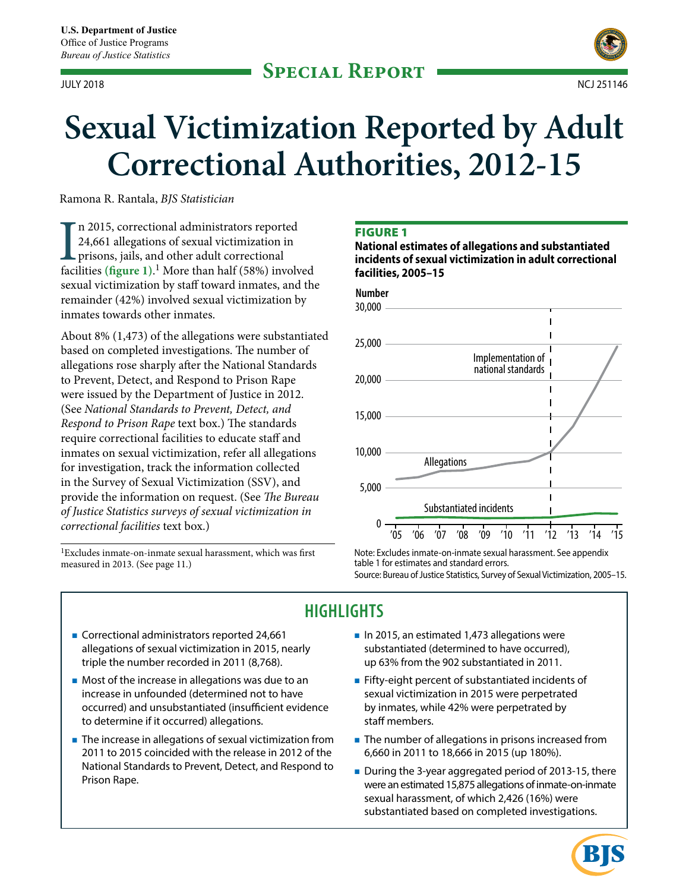

# JULY 2018 NCJ 251146

# **Sexual Victimization Reported by Adult Correctional Authorities, 2012-15**

Ramona R. Rantala, *BJS Statistician* 

I<br>faci n 2015, correctional administrators reported 24,661 allegations of sexual victimization in prisons, jails, and other adult correctional facilities **(fgure 1)**. 1 More than half (58%) involved sexual victimization by staff toward inmates, and the remainder (42%) involved sexual victimization by inmates towards other inmates.

About 8% (1,473) of the allegations were substantiated based on completed investigations. The number of allegations rose sharply after the National Standards to Prevent, Detect, and Respond to Prison Rape were issued by the Department of Justice in 2012. (See *National Standards to Prevent, Detect, and Respond to Prison Rape* text box.) The standards require correctional facilities to educate staff and inmates on sexual victimization, refer all allegations for investigation, track the information collected in the Survey of Sexual Victimization (SSV), and provide the information on request. (See *The Bureau of Justice Statistics surveys of sexual victimization in correctional facilities* text box.)

<sup>1</sup>Excludes inmate-on-inmate sexual harassment, which was first measured in 2013. (See page 11.)

#### FIGURE 1

**National estimates of allegations and substantiated incidents of sexual victimization in adult correctional facilities, 2005–15** 



Note: Excludes inmate-on-inmate sexual harassment. See appendix table 1 for estimates and standard errors. Source: Bureau of Justice Statistics, Survey of Sexual Victimization, 2005–15.

# **HIGHLIGHTS**

- Correctional administrators reported 24,661 In 2015, an estimated 1,473 allegations were allegations of sexual victimization in 2015, nearly substantiated (determined to have occurred), triple the number recorded in 2011 (8,768). up 63% from the 902 substantiated in 2011.
- **Most of the increase in allegations was due to an Fifty-eight percent of substantiated incidents of** increase in unfounded (determined not to have sexual victimization in 2015 were perpetrated occurred) and unsubstantiated (insufficient evidence by inmates, while 42% were perpetrated by to determine if it occurred) allegations. Staff members.
- **The increase in allegations of sexual victimization from The number of allegations in prisons increased from** 2011 to 2015 coincided with the release in 2012 of the 6,660 in 2011 to 18,666 in 2015 (up 180%).
- 
- 
- - National Standards to Prevent, Detect, and Respond to During the 3-year aggregated period of 2013-15, there Prison Rape. sexual harassment, of which 2,426 (16%) were substantiated based on completed investigations.

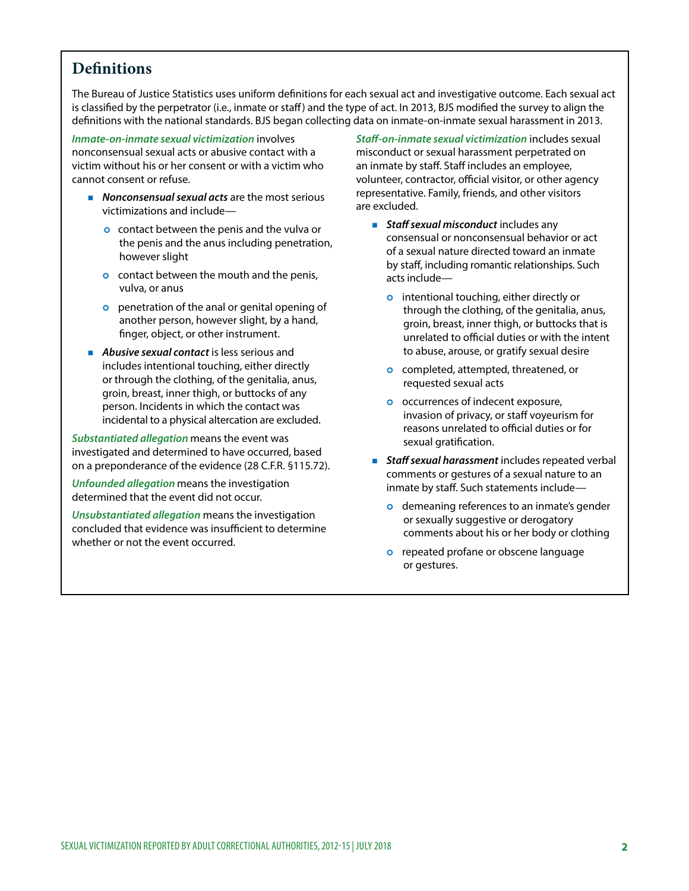## **Defnitions**

The Bureau of Justice Statistics uses uniform defnitions for each sexual act and investigative outcome. Each sexual act is classified by the perpetrator (i.e., inmate or staff) and the type of act. In 2013, BJS modified the survey to align the defnitions with the national standards. BJS began collecting data on inmate-on-inmate sexual harassment in 2013.

*Inmate-on-inmate sexual victimization* involves nonconsensual sexual acts or abusive contact with a victim without his or her consent or with a victim who cannot consent or refuse.

- **Nonconsensual sexual acts** are the most serious victimizations and include
	- o contact between the penis and the vulva or the penis and the anus including penetration, however slight
	- o contact between the mouth and the penis, vulva, or anus
	- o penetration of the anal or genital opening of another person, however slight, by a hand, fnger, object, or other instrument.
- **Abusive sexual contact** is less serious and includes intentional touching, either directly or through the clothing, of the genitalia, anus, groin, breast, inner thigh, or buttocks of any person. Incidents in which the contact was incidental to a physical altercation are excluded.

*Substantiated allegation* means the event was investigated and determined to have occurred, based on a preponderance of the evidence (28 C.F.R. §115.72).

*Unfounded allegation* means the investigation determined that the event did not occur.

*Unsubstantiated allegation* means the investigation concluded that evidence was insufficient to determine whether or not the event occurred.

*Staf-on-inmate sexual victimization* includes sexual misconduct or sexual harassment perpetrated on an inmate by staff. Staff includes an employee, volunteer, contractor, official visitor, or other agency representative. Family, friends, and other visitors are excluded.

- **Staff sexual misconduct** includes any consensual or nonconsensual behavior or act of a sexual nature directed toward an inmate by staff, including romantic relationships. Such acts include
	- o intentional touching, either directly or through the clothing, of the genitalia, anus, groin, breast, inner thigh, or buttocks that is unrelated to official duties or with the intent to abuse, arouse, or gratify sexual desire
	- o completed, attempted, threatened, or requested sexual acts
	- o occurrences of indecent exposure, invasion of privacy, or staff voyeurism for reasons unrelated to official duties or for sexual gratification.
- **Staff sexual harassment** includes repeated verbal comments or gestures of a sexual nature to an inmate by staff. Such statements include
	- o demeaning references to an inmate's gender or sexually suggestive or derogatory comments about his or her body or clothing
	- o repeated profane or obscene language or gestures.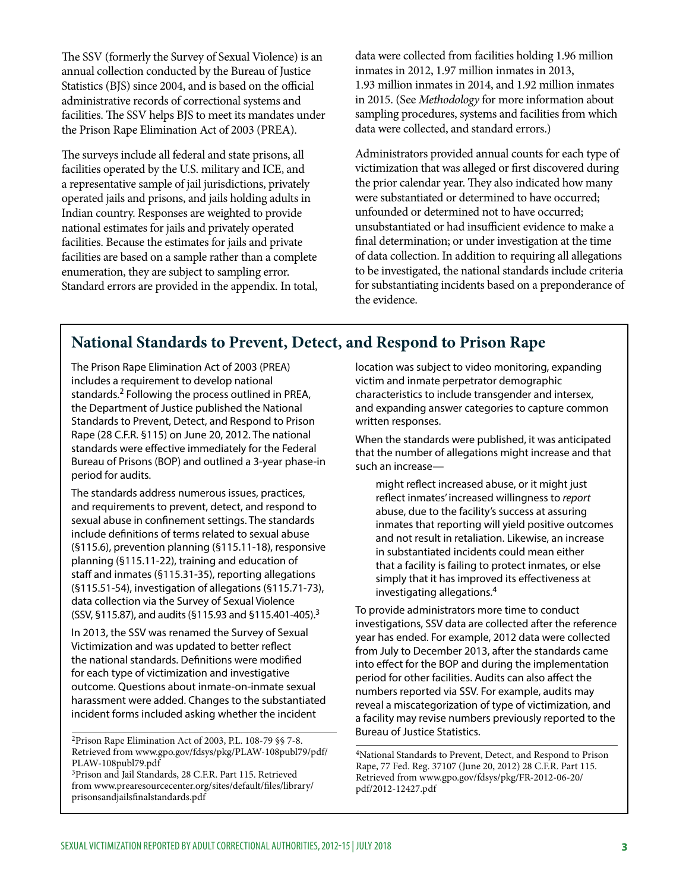The SSV (formerly the Survey of Sexual Violence) is an annual collection conducted by the Bureau of Justice Statistics (BJS) since 2004, and is based on the official administrative records of correctional systems and facilities. The SSV helps BJS to meet its mandates under the Prison Rape Elimination Act of 2003 (PREA).

The surveys include all federal and state prisons, all facilities operated by the U.S. military and ICE, and a representative sample of jail jurisdictions, privately operated jails and prisons, and jails holding adults in Indian country. Responses are weighted to provide national estimates for jails and privately operated facilities. Because the estimates for jails and private facilities are based on a sample rather than a complete enumeration, they are subject to sampling error. Standard errors are provided in the appendix. In total, data were collected from facilities holding 1.96 million inmates in 2012, 1.97 million inmates in 2013, 1.93 million inmates in 2014, and 1.92 million inmates in 2015. (See *Methodology* for more information about sampling procedures, systems and facilities from which data were collected, and standard errors.)

Administrators provided annual counts for each type of victimization that was alleged or frst discovered during the prior calendar year. They also indicated how many were substantiated or determined to have occurred; unfounded or determined not to have occurred; unsubstantiated or had insufficient evidence to make a fnal determination; or under investigation at the time of data collection. In addition to requiring all allegations to be investigated, the national standards include criteria for substantiating incidents based on a preponderance of the evidence.

## **National Standards to Prevent, Detect, and Respond to Prison Rape**

The Prison Rape Elimination Act of 2003 (PREA) location was subject to video monitoring, expanding includes a requirement to develop national victim and inmate perpetrator demographic standards.<sup>2</sup> Following the process outlined in PREA, characteristics to include transgender and intersex, the Department of Justice published the National and expanding answer categories to capture common Standards to Prevent, Detect, and Respond to Prison written responses. Rape (28 C.F.R. §115) on June 20, 2012. The national<br>standards were effective immediately for the Federal<br>Bureau of Prisons (BOP) and outlined a 3-year phase-in<br>period for audits.<br>period for audits.

(\$115.0), prevention planning (\$115.11-18), responsive<br>
planning (\$115.11-22), training and education of<br>
staff and inmates (\$115.31-35), reporting allegations<br>
(\$115.51-54), investigation of allegations (\$115.71-73),<br>
da

PLAW-108publ79.pdf<br><sup>3</sup>Prison and Jail Standards, 28 C.F.R. Part 115. Retrieved Prison Rape Elimination Act of 2003, P.L. 108-79 §§ 7-8.<br>
Retrieved from www.gpo.gov/fdsys/pkg/PLAW-108publ79/pdf/  $\frac{1}{4$ National Standards to Prevent

might reflect increased abuse, or it might just<br>
The standards address numerous issues, practices,<br>
and requirements to prevent, detect, and respond to<br>
sexual abuse in confinement settings. The standards<br>
include definiti

 $\frac{1}{2}$  (SSV, §115.87), and audits (§115.93 and §115.401-405).<sup>3</sup> To provide administrators more time to conduct investigations, SSV data are collected after the reference investigations, SSV data are collected after the reference<br>
In 2013, the SSV was renamed the Survey of Sexual<br>
Victimization and was updated to better reflect<br>
the national standards. Definitions were modified<br>
for each ty

[Retrieved from www.gpo.gov/fdsys/pkg/PLAW-108publ79/pdf/](http://www.gpo.gov/fdsys/pkg/PLAW-108publ79/pdf/PLAW-108publ79.pdf) 4National Standards to Prevent, Detect, and Respond to Prison<br>[PLAW-108publ79.pdf](http://www.gpo.gov/fdsys/pkg/PLAW-108publ79/pdf/PLAW-108publ79.pdf) Rape, 77 Fed. R[eg. 37107 \(June 20, 2012\) 28 C.F.R. Part 1](http://www.gpo.gov/fdsys/pkg/FR-2012-06-20/pdf/2012-12427.pdf)15.<br><sup>3</sup>Prison and Jail Stan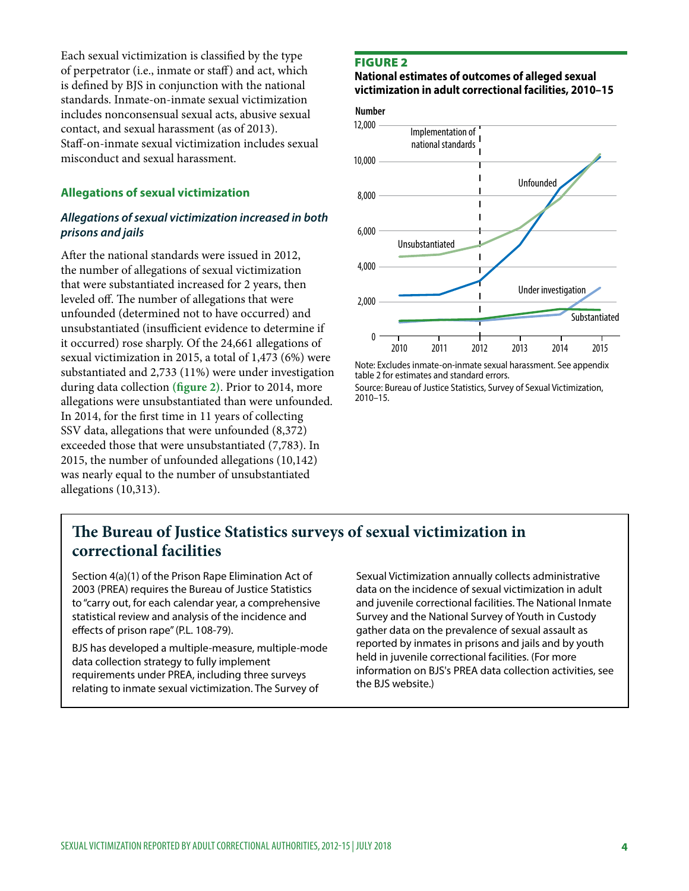Each sexual victimization is classifed by the type of perpetrator (i.e., inmate or staff) and act, which is defned by BJS in conjunction with the national standards. Inmate-on-inmate sexual victimization includes nonconsensual sexual acts, abusive sexual contact, and sexual harassment (as of 2013). Staf-on-inmate sexual victimization includes sexual misconduct and sexual harassment.

#### **Allegations of sexual victimization**

#### *Allegations of sexual victimization increased in both prisons and jails*

Afer the national standards were issued in 2012, the number of allegations of sexual victimization that were substantiated increased for 2 years, then leveled off. The number of allegations that were unfounded (determined not to have occurred) and unsubstantiated (insufficient evidence to determine if it occurred) rose sharply. Of the 24,661 allegations of sexual victimization in 2015, a total of 1,473 (6%) were substantiated and 2,733 (11%) were under investigation during data collection **(fgure 2)**. Prior to 2014, more allegations were unsubstantiated than were unfounded. In 2014, for the frst time in 11 years of collecting SSV data, allegations that were unfounded (8,372) exceeded those that were unsubstantiated (7,783). In 2015, the number of unfounded allegations (10,142) was nearly equal to the number of unsubstantiated allegations (10,313).

#### FIGURE 2

#### **National estimates of outcomes of alleged sexual victimization in adult correctional facilities, 2010–15**





Note: Excludes inmate-on-inmate sexual harassment. See appendix table 2 for estimates and standard errors.

Source: Bureau of Justice Statistics, Survey of Sexual Victimization, 2010–15.

## The Bureau of Justice Statistics surveys of sexual victimization in **correctional facilities**

Section 4(a)(1) of the Prison Rape Elimination Act of Sexual Victimization annually collects administrative 2003 (PREA) requires the Bureau of Justice Statistics data on the incidence of sexual victimization in adult statistical review and analysis of the incidence and Survey and the National Survey of Youth in Custody efects of prison rape" (P.L. 108-79). gather data on the prevalence of sexual assault as

to "carry out, for each calendar year, a comprehensive and juvenile correctional facilities. The National Inmate BJS has developed a multiple-measure, multiple-mode<br>data collection strategy to fully implement<br>requirements under PREA, including three surveys<br>relating to inmate sexual victimization. The Survey of the BJS website.)<br>rela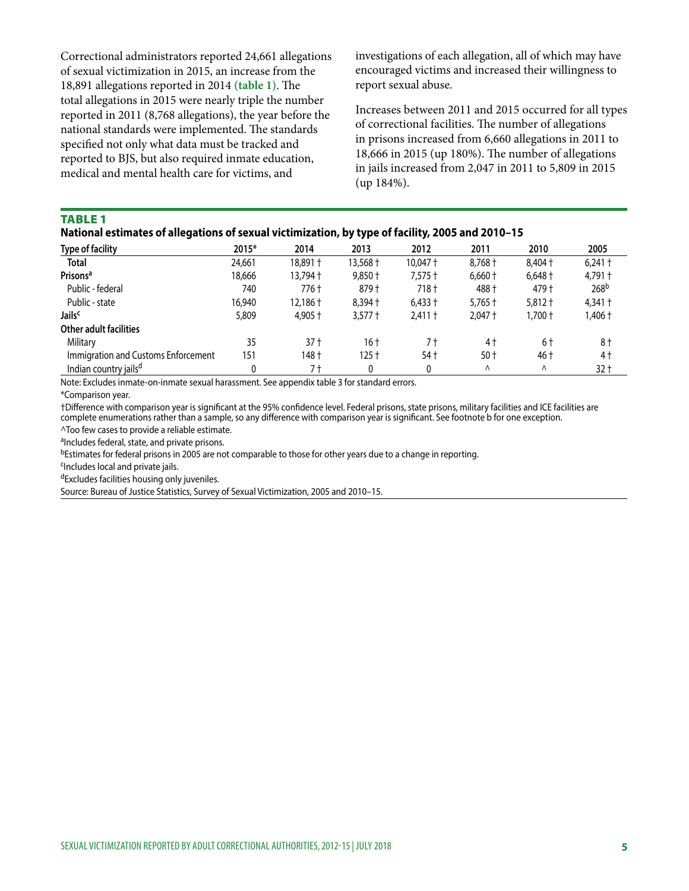Correctional administrators reported 24,661 allegations of sexual victimization in 2015, an increase from the 18,891 allegations reported in 2014 (table 1). The total allegations in 2015 were nearly triple the number reported in 2011 (8,768 allegations), the year before the national standards were implemented. The standards specifed not only what data must be tracked and reported to BJS, but also required inmate education, medical and mental health care for victims, and

investigations of each allegation, all of which may have encouraged victims and increased their willingness to report sexual abuse.

Increases between 2011 and 2015 occurred for all types of correctional facilities. The number of allegations in prisons increased from 6,660 allegations in 2011 to 18,666 in 2015 (up 180%). The number of allegations in jails increased from 2,047 in 2011 to 5,809 in 2015 (up 184%).

#### TABLE 1

|  | National estimates of allegations of sexual victimization, by type of facility, 2005 and 2010-15 |  |
|--|--------------------------------------------------------------------------------------------------|--|
|  |                                                                                                  |  |

| <b>Type of facility</b>             | 2015*  | 2014      | 2013      | 2012      | 2011      | 2010           | 2005             |
|-------------------------------------|--------|-----------|-----------|-----------|-----------|----------------|------------------|
| <b>Total</b>                        | 24,661 | 18,891 +  | 13,568†   | 10.047 +  | $8.768 +$ | 8,404 +        | $6,241$ †        |
| Prisons <sup>a</sup>                | 18,666 | 13,794 +  | $9.850 +$ | $7,575$ † | $6,660 +$ | $6,648\dagger$ | 4,791 +          |
| Public - federal                    | 740    | 776 t     | 879 +     | 718 t     | 488 +     | 479 +          | 268 <sup>b</sup> |
| Public - state                      | 16,940 | 12,186 +  | $8.394 +$ | $6.433 +$ | $5.765 +$ | $5.812 +$      | $4,341$ †        |
| Jails <sup>c</sup>                  | 5,809  | $4.905 +$ | $3,577 +$ | $2.411 +$ | $2.047 +$ | 1,700†         | 1,406†           |
| Other adult facilities              |        |           |           |           |           |                |                  |
| Military                            | 35     | $37+$     | 16 t      | 7 t       | 4 t       | 6†             | 8†               |
| Immigration and Customs Enforcement | 151    | 148 +     | 125†      | 54 t      | $50+$     | 46 t           | 4 †              |
| Indian country jails <sup>d</sup>   |        | 7 t       |           |           | Λ         | Λ              | $32 +$           |

Note: Excludes inmate-on-inmate sexual harassment. See appendix table 3 for standard errors.

\*Comparison year.

†Diference with comparison year is signifcant at the 95% confdence level. Federal prisons, state prisons, military facilities and ICE facilities are complete enumerations rather than a sample, so any difference with comparison year is significant. See footnote b for one exception.

^Too few cases to provide a reliable estimate.

aIncludes federal, state, and private prisons.

bEstimates for federal prisons in 2005 are not comparable to those for other years due to a change in reporting.

cIncludes local and private jails.

dExcludes facilities housing only juveniles.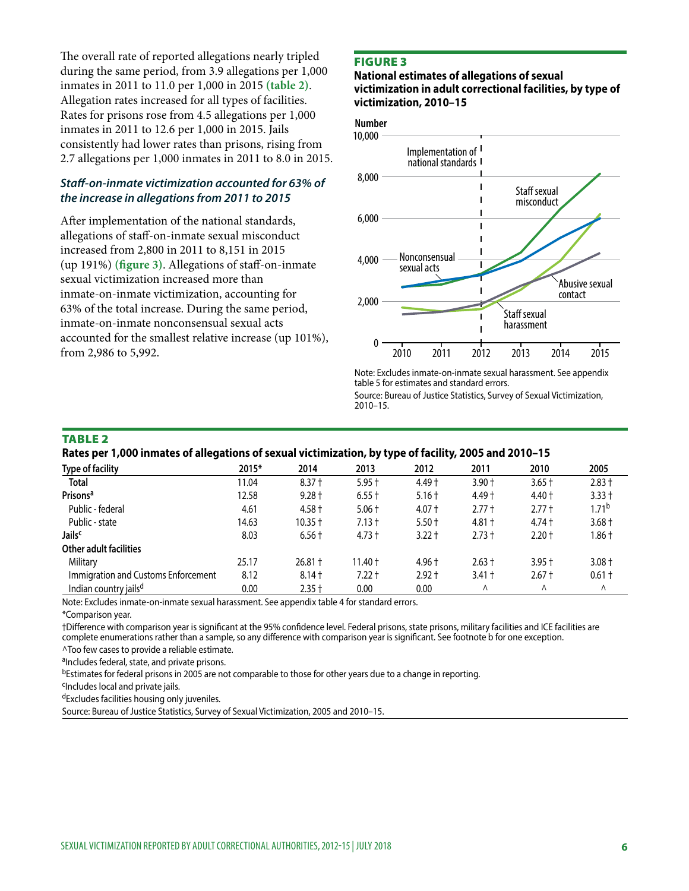The overall rate of reported allegations nearly tripled during the same period, from 3.9 allegations per 1,000 inmates in 2011 to 11.0 per 1,000 in 2015 **(table 2)**. Allegation rates increased for all types of facilities. Rates for prisons rose from 4.5 allegations per 1,000 inmates in 2011 to 12.6 per 1,000 in 2015. Jails consistently had lower rates than prisons, rising from 2.7 allegations per 1,000 inmates in 2011 to 8.0 in 2015.

#### *Staf-on-inmate victimization accounted for 63% of the increase in allegations from 2011 to 2015*

Afer implementation of the national standards, allegations of staf-on-inmate sexual misconduct increased from 2,800 in 2011 to 8,151 in 2015 (up 191%) **(fgure 3)**. Allegations of staf-on-inmate sexual victimization increased more than inmate-on-inmate victimization, accounting for 63% of the total increase. During the same period, inmate-on-inmate nonconsensual sexual acts accounted for the smallest relative increase (up 101%), from 2,986 to 5,992.

#### FIGURE 3

#### **National estimates of allegations of sexual victimization in adult correctional facilities, by type of victimization, 2010–15**





Note: Excludes inmate-on-inmate sexual harassment. See appendix table 5 for estimates and standard errors.

Source: Bureau of Justice Statistics, Survey of Sexual Victimization, 2010–15.

#### TABLE 2

**Rates per 1,000 inmates of allegations of sexual victimization, by type of facility, 2005 and 2010–15** 

| <b>Type of facility</b>             | 2015* | 2014      | 2013      | 2012     | 2011     | 2010     | 2005              |
|-------------------------------------|-------|-----------|-----------|----------|----------|----------|-------------------|
| <b>Total</b>                        | 11.04 | $8.37 +$  | $5.95 +$  | $4.49 +$ | $3.90 +$ | $3.65 +$ | $2.83 +$          |
| Prisons <sup>a</sup>                | 12.58 | $9.28 +$  | $6.55 +$  | $5.16 +$ | $4.49 +$ | $4.40 +$ | $3.33 +$          |
| Public - federal                    | 4.61  | $4.58 +$  | $5.06 +$  | $4.07 +$ | $2.77 +$ | $2.77 +$ | $1.71^{\text{b}}$ |
| Public - state                      | 14.63 | $10.35 +$ | $7.13 +$  | $5.50 +$ | $4.81 +$ | $4.74 +$ | $3.68 +$          |
| Jails <sup>c</sup>                  | 8.03  | $6.56 +$  | $4.73 +$  | $3.22 +$ | $2.73 +$ | $2.20 +$ | l.86 t            |
| <b>Other adult facilities</b>       |       |           |           |          |          |          |                   |
| Military                            | 25.17 | $26.81 +$ | $11.40 +$ | $4.96 +$ | $2.63 +$ | $3.95 +$ | $3.08 +$          |
| Immigration and Customs Enforcement | 8.12  | $8.14 +$  | $7.22 +$  | $2.92 +$ | $3.41 +$ | $2.67 +$ | $0.61 +$          |
| Indian country jails <sup>d</sup>   | 0.00  | $2.35 +$  | 0.00      | 0.00     | Λ        | Λ        | $\wedge$          |

Note: Excludes inmate-on-inmate sexual harassment. See appendix table 4 for standard errors.

\*Comparison year.

†Diference with comparison year is signifcant at the 95% confdence level. Federal prisons, state prisons, military facilities and ICE facilities are complete enumerations rather than a sample, so any diference with comparison year is signifcant. See footnote b for one exception.

^Too few cases to provide a reliable estimate.

aIncludes federal, state, and private prisons.

bEstimates for federal prisons in 2005 are not comparable to those for other years due to a change in reporting.

<sup>c</sup>Includes local and private jails.

dExcludes facilities housing only juveniles.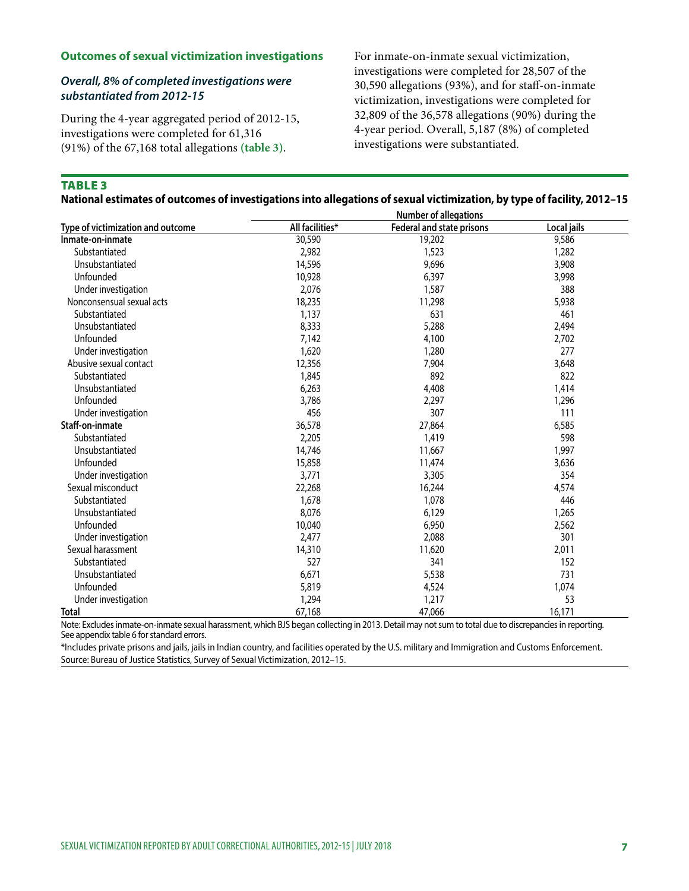#### **Outcomes of sexual victimization investigations**

#### *Overall, 8% of completed investigations were substantiated from 2012-15*

During the 4-year aggregated period of 2012-15, investigations were completed for 61,316 (91%) of the 67,168 total allegations **(table 3)**.

For inmate-on-inmate sexual victimization, investigations were completed for 28,507 of the 30,590 allegations (93%), and for staf-on-inmate victimization, investigations were completed for 32,809 of the 36,578 allegations (90%) during the 4-year period. Overall, 5,187 (8%) of completed investigations were substantiated.

## TABLE 3

| National estimates of outcomes of investigations into allegations of sexual victimization, by type of facility, 2012-15 |  |  |
|-------------------------------------------------------------------------------------------------------------------------|--|--|
|                                                                                                                         |  |  |

|                                   |                 | <b>Number of allegations</b>     |             |
|-----------------------------------|-----------------|----------------------------------|-------------|
| Type of victimization and outcome | All facilities* | <b>Federal and state prisons</b> | Local jails |
| Inmate-on-inmate                  | 30,590          | 19,202                           | 9,586       |
| Substantiated                     | 2,982           | 1,523                            | 1,282       |
| Unsubstantiated                   | 14,596          | 9,696                            | 3,908       |
| Unfounded                         | 10,928          | 6,397                            | 3,998       |
| Under investigation               | 2,076           | 1,587                            | 388         |
| Nonconsensual sexual acts         | 18,235          | 11,298                           | 5,938       |
| Substantiated                     | 1,137           | 631                              | 461         |
| Unsubstantiated                   | 8,333           | 5,288                            | 2,494       |
| Unfounded                         | 7,142           | 4,100                            | 2,702       |
| Under investigation               | 1,620           | 1,280                            | 277         |
| Abusive sexual contact            | 12,356          | 7,904                            | 3,648       |
| Substantiated                     | 1,845           | 892                              | 822         |
| Unsubstantiated                   | 6,263           | 4,408                            | 1,414       |
| Unfounded                         | 3,786           | 2,297                            | 1,296       |
| Under investigation               | 456             | 307                              | 111         |
| Staff-on-inmate                   | 36,578          | 27,864                           | 6,585       |
| Substantiated                     | 2,205           | 1,419                            | 598         |
| Unsubstantiated                   | 14,746          | 11,667                           | 1,997       |
| Unfounded                         | 15,858          | 11,474                           | 3,636       |
| Under investigation               | 3,771           | 3,305                            | 354         |
| Sexual misconduct                 | 22,268          | 16,244                           | 4,574       |
| Substantiated                     | 1,678           | 1,078                            | 446         |
| Unsubstantiated                   | 8,076           | 6,129                            | 1,265       |
| Unfounded                         | 10,040          | 6,950                            | 2,562       |
| Under investigation               | 2,477           | 2,088                            | 301         |
| Sexual harassment                 | 14,310          | 11,620                           | 2,011       |
| Substantiated                     | 527             | 341                              | 152         |
| Unsubstantiated                   | 6,671           | 5,538                            | 731         |
| Unfounded                         | 5,819           | 4,524                            | 1,074       |
| Under investigation               | 1,294           | 1,217                            | 53          |
| Total                             | 67,168          | 47,066                           | 16,171      |

Note: Excludes inmate-on-inmate sexual harassment, which BJS began collecting in 2013. Detail may not sum to total due to discrepancies in reporting. See appendix table 6 for standard errors.

\*Includes private prisons and jails, jails in Indian country, and facilities operated by the U.S. military and Immigration and Customs Enforcement. Source: Bureau of Justice Statistics, Survey of Sexual Victimization, 2012–15.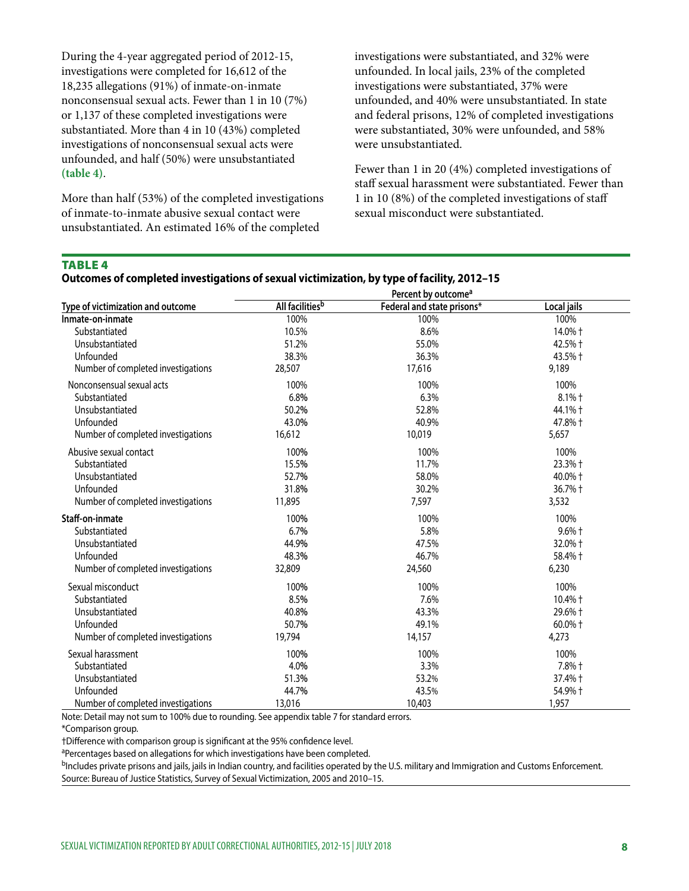During the 4-year aggregated period of 2012-15, investigations were completed for 16,612 of the 18,235 allegations (91%) of inmate-on-inmate nonconsensual sexual acts. Fewer than 1 in 10 (7%) or 1,137 of these completed investigations were substantiated. More than 4 in 10 (43%) completed investigations of nonconsensual sexual acts were unfounded, and half (50%) were unsubstantiated **(table 4)**.

More than half (53%) of the completed investigations of inmate-to-inmate abusive sexual contact were unsubstantiated. An estimated 16% of the completed

investigations were substantiated, and 32% were unfounded. In local jails, 23% of the completed investigations were substantiated, 37% were unfounded, and 40% were unsubstantiated. In state and federal prisons, 12% of completed investigations were substantiated, 30% were unfounded, and 58% were unsubstantiated.

Fewer than 1 in 20 (4%) completed investigations of staff sexual harassment were substantiated. Fewer than 1 in 10 (8%) of the completed investigations of staf sexual misconduct were substantiated.

#### TABLE 4

|                                    | Percent by outcome <sup>a</sup> |                            |                  |  |  |  |
|------------------------------------|---------------------------------|----------------------------|------------------|--|--|--|
| Type of victimization and outcome  | All facilities <sup>b</sup>     | Federal and state prisons* | Local jails      |  |  |  |
| Inmate-on-inmate                   | 100%                            | 100%                       | 100%             |  |  |  |
| Substantiated                      | 10.5%                           | 8.6%                       | 14.0% +          |  |  |  |
| Unsubstantiated                    | 51.2%                           | 55.0%                      | 42.5% +          |  |  |  |
| Unfounded                          | 38.3%                           | 36.3%                      | 43.5% +          |  |  |  |
| Number of completed investigations | 28,507                          | 17,616                     | 9,189            |  |  |  |
| Nonconsensual sexual acts          | 100%                            | 100%                       | 100%             |  |  |  |
| Substantiated                      | 6.8%                            | 6.3%                       | 8.1% +           |  |  |  |
| Unsubstantiated                    | 50.2%                           | 52.8%                      | 44.1% +          |  |  |  |
| Unfounded                          | 43.0%                           | 40.9%                      | 47.8% +          |  |  |  |
| Number of completed investigations | 16,612                          | 10,019                     | 5,657            |  |  |  |
| Abusive sexual contact             | 100%                            | 100%                       | 100%             |  |  |  |
| Substantiated                      | 15.5%                           | 11.7%                      | 23.3% +          |  |  |  |
| Unsubstantiated                    | 52.7%                           | 58.0%                      | 40.0% +          |  |  |  |
| Unfounded                          | 31.8%                           | 30.2%                      | 36.7% +          |  |  |  |
| Number of completed investigations | 11,895                          | 7,597                      | 3,532            |  |  |  |
| Staff-on-inmate                    | 100%                            | 100%                       | 100%             |  |  |  |
| Substantiated                      | 6.7%                            | 5.8%                       | $9.6%$ $\dagger$ |  |  |  |
| Unsubstantiated                    | 44.9%                           | 47.5%                      | 32.0% +          |  |  |  |
| Unfounded                          | 48.3%                           | 46.7%                      | 58.4% +          |  |  |  |
| Number of completed investigations | 32,809                          | 24,560                     | 6,230            |  |  |  |
| Sexual misconduct                  | 100%                            | 100%                       | 100%             |  |  |  |
| Substantiated                      | 8.5%                            | 7.6%                       | 10.4% +          |  |  |  |
| Unsubstantiated                    | 40.8%                           | 43.3%                      | 29.6% +          |  |  |  |
| Unfounded                          | 50.7%                           | 49.1%                      | 60.0% +          |  |  |  |
| Number of completed investigations | 19,794                          | 14,157                     | 4,273            |  |  |  |
| Sexual harassment                  | 100%                            | 100%                       | 100%             |  |  |  |
| Substantiated                      | 4.0%                            | 3.3%                       | 7.8% +           |  |  |  |
| Unsubstantiated                    | 51.3%                           | 53.2%                      | 37.4% +          |  |  |  |
| Unfounded                          | 44.7%                           | 43.5%                      | 54.9% +          |  |  |  |
| Number of completed investigations | 13,016                          | 10,403                     | 1,957            |  |  |  |

#### **Outcomes of completed investigations of sexual victimization, by type of facility, 2012–15**

Note: Detail may not sum to 100% due to rounding. See appendix table 7 for standard errors.

\*Comparison group.

†Diference with comparison group is signifcant at the 95% confdence level.

aPercentages based on allegations for which investigations have been completed.

<sup>b</sup>Includes private prisons and jails, jails in Indian country, and facilities operated by the U.S. military and Immigration and Customs Enforcement. Source: Bureau of Justice Statistics, Survey of Sexual Victimization, 2005 and 2010–15.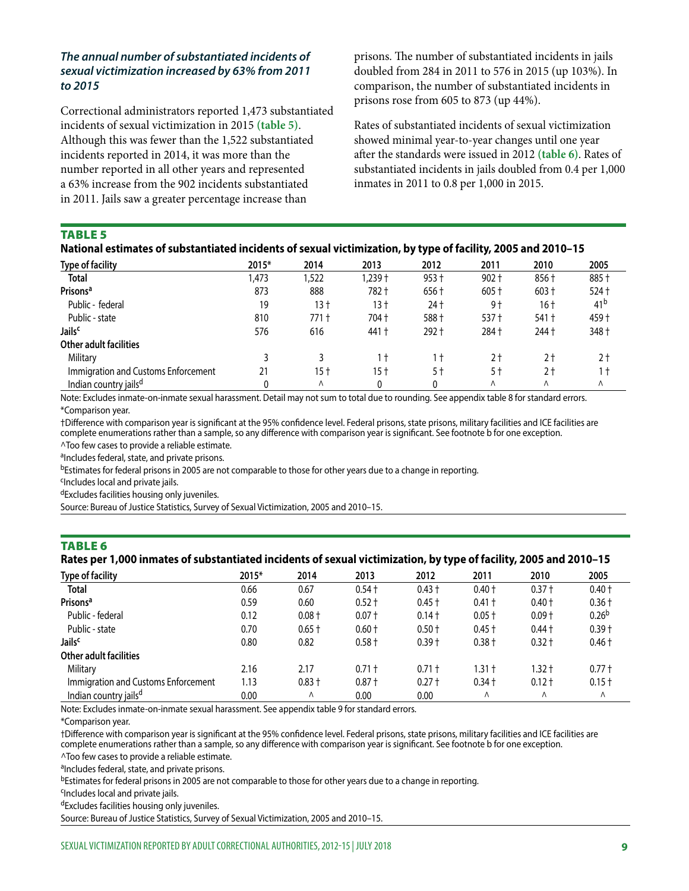#### *The annual number of substantiated incidents of sexual victimization increased by 63% from 2011 to 2015*

Correctional administrators reported 1,473 substantiated incidents of sexual victimization in 2015 **(table 5)**. Although this was fewer than the 1,522 substantiated incidents reported in 2014, it was more than the number reported in all other years and represented a 63% increase from the 902 incidents substantiated in 2011. Jails saw a greater percentage increase than

prisons. The number of substantiated incidents in jails doubled from 284 in 2011 to 576 in 2015 (up 103%). In comparison, the number of substantiated incidents in prisons rose from 605 to 873 (up 44%).

Rates of substantiated incidents of sexual victimization showed minimal year-to-year changes until one year afer the standards were issued in 2012 **(table 6)**. Rates of substantiated incidents in jails doubled from 0.4 per 1,000 inmates in 2011 to 0.8 per 1,000 in 2015.

#### TABLE 5

| National estimates of substantiated incidents of sexual victimization, by type of facility, 2005 and 2010-15 |
|--------------------------------------------------------------------------------------------------------------|
|--------------------------------------------------------------------------------------------------------------|

| <b>Type of facility</b>             | 2015* | 2014  | 2013     | 2012    | 2011    | 2010    | 2005            |
|-------------------------------------|-------|-------|----------|---------|---------|---------|-----------------|
| <b>Total</b>                        | 1,473 | 1,522 | $.239 +$ | $953 +$ | $902 +$ | 856 +   | 885 +           |
| Prisons <sup>a</sup>                | 873   | 888   | 782 t    | 656 +   | $605 +$ | $603 +$ | $524 +$         |
| Public - federal                    | 19    | 13 t  | 13 t     | 24 t    | 9†      | 16 t    | 41 <sup>b</sup> |
| Public - state                      | 810   | 771 t | 704 t    | 588 +   | $537 +$ | 541 +   | 459 +           |
| Jails <sup>c</sup>                  | 576   | 616   | 441 t    | 292 +   | 284 +   | 244 +   | 348 +           |
| Other adult facilities              |       |       |          |         |         |         |                 |
| Military                            |       |       | īŦ.      |         | 2†      | 2 t     | 2†              |
| Immigration and Customs Enforcement |       | 15 t  | 15 t     | 5†      | 5 t     | 2 t     | 1 †             |
| Indian country jails <sup>d</sup>   |       | Λ     |          |         | Λ       | Λ       | Λ               |

Note: Excludes inmate-on-inmate sexual harassment. Detail may not sum to total due to rounding. See appendix table 8 for standard errors. \*Comparison year.

†Diference with comparison year is signifcant at the 95% confdence level. Federal prisons, state prisons, military facilities and ICE facilities are complete enumerations rather than a sample, so any diference with comparison year is signifcant. See footnote b for one exception.

^Too few cases to provide a reliable estimate.

aIncludes federal, state, and private prisons.

bEstimates for federal prisons in 2005 are not comparable to those for other years due to a change in reporting.

<sup>c</sup>Includes local and private jails.

dExcludes facilities housing only juveniles.

Source: Bureau of Justice Statistics, Survey of Sexual Victimization, 2005 and 2010–15.

#### TABLE 6

|  |  | Rates per 1,000 inmates of substantiated incidents of sexual victimization, by type of facility, 2005 and 2010-15 |  |  |  |  |
|--|--|-------------------------------------------------------------------------------------------------------------------|--|--|--|--|
|--|--|-------------------------------------------------------------------------------------------------------------------|--|--|--|--|

| <b>Type of facility</b>             | 2015* | 2014     | 2013     | 2012     | 2011     | 2010     | 2005              |
|-------------------------------------|-------|----------|----------|----------|----------|----------|-------------------|
| <b>Total</b>                        | 0.66  | 0.67     | $0.54 +$ | $0.43 +$ | $0.40 +$ | $0.37 +$ | $0.40 +$          |
| Prisons <sup>a</sup>                | 0.59  | 0.60     | $0.52 +$ | $0.45 +$ | $0.41 +$ | $0.40 +$ | $0.36 +$          |
| Public - federal                    | 0.12  | $0.08 +$ | $0.07 +$ | $0.14 +$ | $0.05 +$ | $0.09 +$ | 0.26 <sup>b</sup> |
| Public - state                      | 0.70  | $0.65 +$ | $0.60 +$ | $0.50 +$ | $0.45 +$ | $0.44 +$ | $0.39 +$          |
| <b>Jails</b> <sup>c</sup>           | 0.80  | 0.82     | $0.58 +$ | $0.39 +$ | $0.38 +$ | $0.32 +$ | $0.46 +$          |
| Other adult facilities              |       |          |          |          |          |          |                   |
| Military                            | 2.16  | 2.17     | $0.71 +$ | $0.71 +$ | 1.31 †   | $1.32 +$ | $0.77 +$          |
| Immigration and Customs Enforcement | 1.13  | $0.83 +$ | $0.87 +$ | $0.27 +$ | $0.34 +$ | $0.12 +$ | $0.15 +$          |
| Indian country jails <sup>d</sup>   | 0.00  | Λ        | 0.00     | 0.00     | Λ        | Λ        | Λ                 |

Note: Excludes inmate-on-inmate sexual harassment. See appendix table 9 for standard errors.

\*Comparison year.

†Diference with comparison year is signifcant at the 95% confdence level. Federal prisons, state prisons, military facilities and ICE facilities are complete enumerations rather than a sample, so any diference with comparison year is signifcant. See footnote b for one exception.

^Too few cases to provide a reliable estimate.

aIncludes federal, state, and private prisons.

bEstimates for federal prisons in 2005 are not comparable to those for other years due to a change in reporting.

<sup>c</sup>Includes local and private jails.

dExcludes facilities housing only juveniles.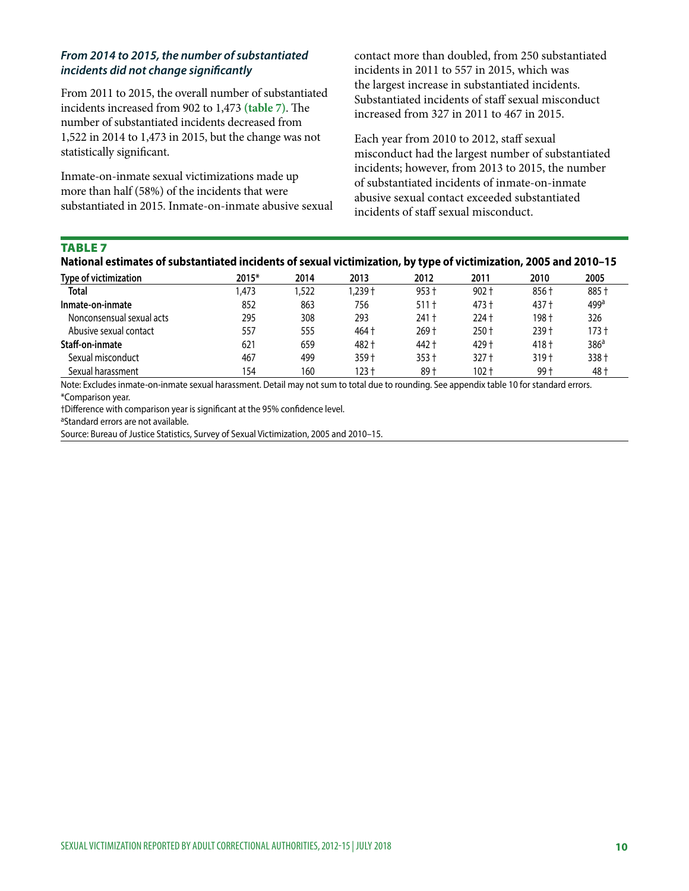#### *From 2014 to 2015, the number of substantiated incidents did not change signifcantly*

From 2011 to 2015, the overall number of substantiated incidents increased from 902 to 1,473 (table 7). The number of substantiated incidents decreased from 1,522 in 2014 to 1,473 in 2015, but the change was not statistically signifcant.

Inmate-on-inmate sexual victimizations made up more than half (58%) of the incidents that were substantiated in 2015. Inmate-on-inmate abusive sexual contact more than doubled, from 250 substantiated incidents in 2011 to 557 in 2015, which was the largest increase in substantiated incidents. Substantiated incidents of staff sexual misconduct increased from 327 in 2011 to 467 in 2015.

Each year from 2010 to 2012, staff sexual misconduct had the largest number of substantiated incidents; however, from 2013 to 2015, the number of substantiated incidents of inmate-on-inmate abusive sexual contact exceeded substantiated incidents of staf sexual misconduct.

#### TABLE 7

| Type of victimization     | 2015* | 2014 | 2013    | 2012    | 2011    | 2010             | 2005             |
|---------------------------|-------|------|---------|---------|---------|------------------|------------------|
| <b>Total</b>              | .473  | .522 | † 239.  | $953 +$ | $902 +$ | 856 †            | 885 †            |
| Inmate-on-inmate          | 852   | 863  | 756     | $511 +$ | 473 t   | 437 +            | 499 <sup>a</sup> |
| Nonconsensual sexual acts | 295   | 308  | 293     | 241 +   | 224 †   | 198†             | 326              |
| Abusive sexual contact    | 557   | 555  | 464 +   | 269+    | $250 +$ | 239+             | 173 t            |
| Staff-on-inmate           | 621   | 659  | 482 +   | 442 +   | 429 †   | 418 +            | 386 <sup>a</sup> |
| Sexual misconduct         | 467   | 499  | $359 +$ | $353 +$ | $327 +$ | 319 <sup>†</sup> | 338 <sup>†</sup> |
| Sexual harassment         | 154   | 160  | $123 +$ | 89†     | $102 +$ | 99 t             | 48 t             |

Note: Excludes inmate-on-inmate sexual harassment. Detail may not sum to total due to rounding. See appendix table 10 for standard errors. \*Comparison year.

†Difference with comparison year is significant at the 95% confidence level.<br><sup>a</sup>Standard errors are not available.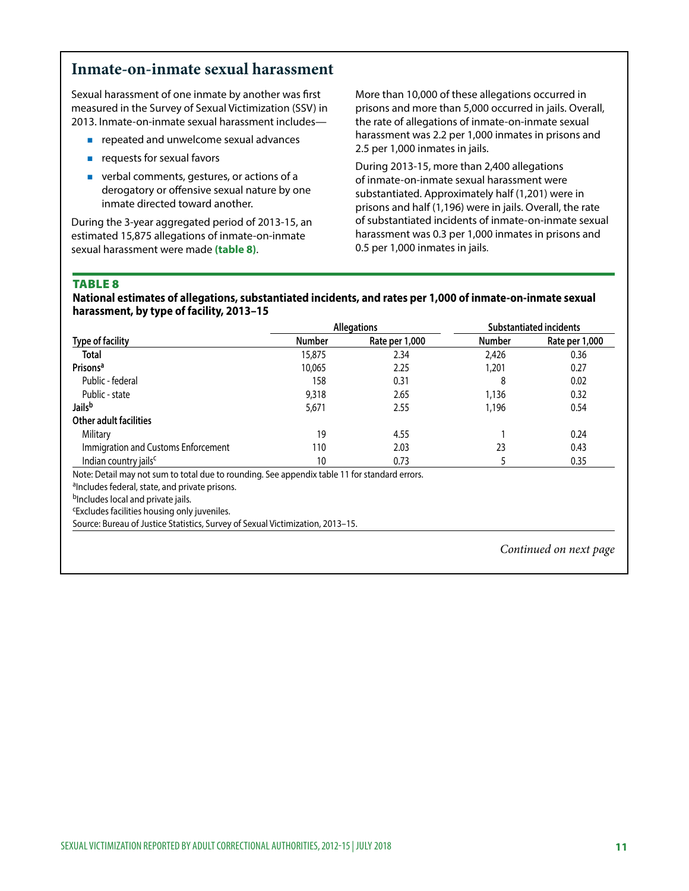## **Inmate-on-inmate sexual harassment**

Sexual harassment of one inmate by another was frst measured in the Survey of Sexual Victimization (SSV) in 2013. Inmate-on-inmate sexual harassment includes—

- **P** repeated and unwelcome sexual advances
- **requests for sexual favors**
- verbal comments, gestures, or actions of a derogatory or offensive sexual nature by one inmate directed toward another.

During the 3-year aggregated period of 2013-15, an estimated 15,875 allegations of inmate-on-inmate sexual harassment were made **(table 8)**.

More than 10,000 of these allegations occurred in prisons and more than 5,000 occurred in jails. Overall, the rate of allegations of inmate-on-inmate sexual harassment was 2.2 per 1,000 inmates in prisons and 2.5 per 1,000 inmates in jails.

During 2013-15, more than 2,400 allegations of inmate-on-inmate sexual harassment were substantiated. Approximately half (1,201) were in prisons and half (1,196) were in jails. Overall, the rate of substantiated incidents of inmate-on-inmate sexual harassment was 0.3 per 1,000 inmates in prisons and 0.5 per 1,000 inmates in jails.

#### TABLE 8

**National estimates of allegations, substantiated incidents, and rates per 1,000 of inmate-on-inmate sexual harassment, by type of facility, 2013–15** 

|                                                                                               |               | <b>Allegations</b> | <b>Substantiated incidents</b> |                |  |
|-----------------------------------------------------------------------------------------------|---------------|--------------------|--------------------------------|----------------|--|
| <b>Type of facility</b>                                                                       | <b>Number</b> | Rate per 1,000     | <b>Number</b>                  | Rate per 1,000 |  |
| <b>Total</b>                                                                                  | 15,875        | 2.34               | 2,426                          | 0.36           |  |
| Prisons <sup>a</sup>                                                                          | 10,065        | 2.25               | 1,201                          | 0.27           |  |
| Public - federal                                                                              | 158           | 0.31               | 8                              | 0.02           |  |
| Public - state                                                                                | 9,318         | 2.65               | 1,136                          | 0.32           |  |
| Jails <sup>b</sup>                                                                            | 5,671         | 2.55               | 1,196                          | 0.54           |  |
| Other adult facilities                                                                        |               |                    |                                |                |  |
| Military                                                                                      | 19            | 4.55               |                                | 0.24           |  |
| Immigration and Customs Enforcement                                                           | 110           | 2.03               | 23                             | 0.43           |  |
| Indian country jails <sup>c</sup>                                                             | 10            | 0.73               |                                | 0.35           |  |
| Note: Detail may not sum to total due to rounding. See appendix table 11 for standard errors. |               |                    |                                |                |  |

<sup>a</sup>Includes federal, state, and private prisons.

bIncludes local and private jails.

cExcludes facilities housing only juveniles.

Source: Bureau of Justice Statistics, Survey of Sexual Victimization, 2013–15.

*Continued on next page*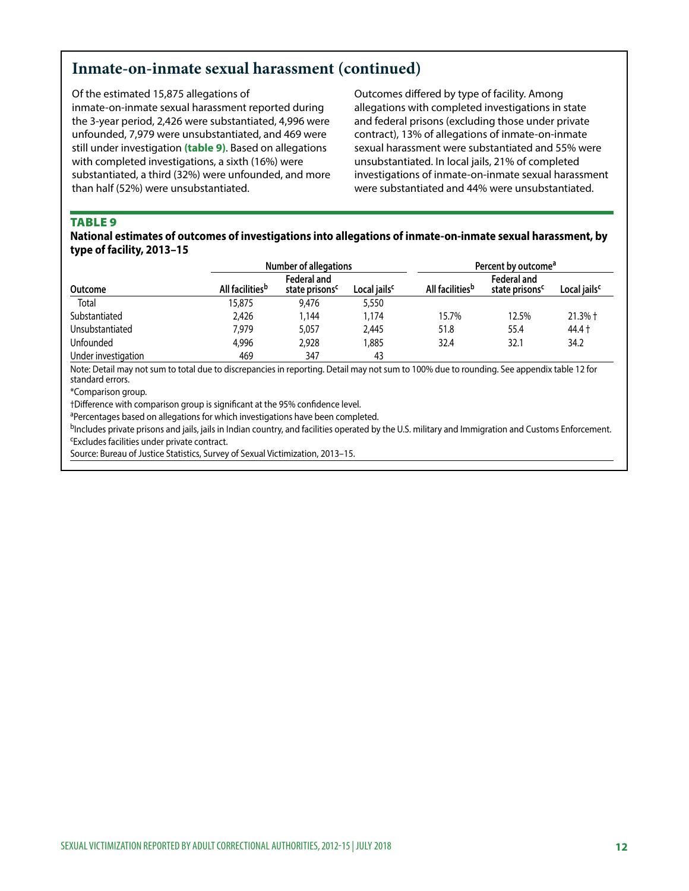## **Inmate-on-inmate sexual harassment (continued)**

inmate-on-inmate sexual harassment reported during allegations with completed investigations in state the 3-year period, 2,426 were substantiated, 4,996 were and federal prisons (excluding those under private unfounded, 7,979 were unsubstantiated, and 469 were contract), 13% of allegations of inmate-on-inmate still under investigation **(table 9)**. Based on allegations sexual harassment were substantiated and 55% were with completed investigations, a sixth (16%) were unsubstantiated. In local jails, 21% of completed substantiated, a third (32%) were unfounded, and more investigations of inmate-on-inmate sexual harassment than half (52%) were unsubstantiated. were substantiated and 44% were unsubstantiated.

Of the estimated 15,875 allegations of Outcomes difered by type of facility. Among

#### TABLE 9

#### **National estimates of outcomes of investigations into allegations of inmate-on-inmate sexual harassment, by type of facility, 2013–15**

|                     |                             | <b>Number of allegations</b>              |                          | Percent by outcome <sup>a</sup> |                                           |                          |  |
|---------------------|-----------------------------|-------------------------------------------|--------------------------|---------------------------------|-------------------------------------------|--------------------------|--|
| Outcome             | All facilities <sup>b</sup> | Federal and<br>state prisons <sup>c</sup> | Local jails <sup>c</sup> | All facilities <sup>b</sup>     | Federal and<br>state prisons <sup>c</sup> | Local jails <sup>c</sup> |  |
| Total               | 15.875                      | 9,476                                     | 5,550                    |                                 |                                           |                          |  |
| Substantiated       | 2,426                       | 1,144                                     | 1.174                    | 15.7%                           | 12.5%                                     | $21.3%$ †                |  |
| Unsubstantiated     | 7.979                       | 5,057                                     | 2,445                    | 51.8                            | 55.4                                      | 44.4 +                   |  |
| <b>Unfounded</b>    | 4.996                       | 2,928                                     | 1.885                    | 32.4                            | 32.1                                      | 34.2                     |  |
| Under investigation | 469                         | 347                                       | 43                       |                                 |                                           |                          |  |

Note: Detail may not sum to total due to discrepancies in reporting. Detail may not sum to 100% due to rounding. See appendix table 12 for standard errors.

\*Comparison group.

†Difference with comparison group is significant at the 95% confidence level.<br><sup>a</sup>Percentages based on allegations for which investigations have been completed.

bIncludes private prisons and jails, jails in Indian country, and facilities operated by the U.S. military and Immigration and Customs Enforcement. cExcludes facilities under private contract.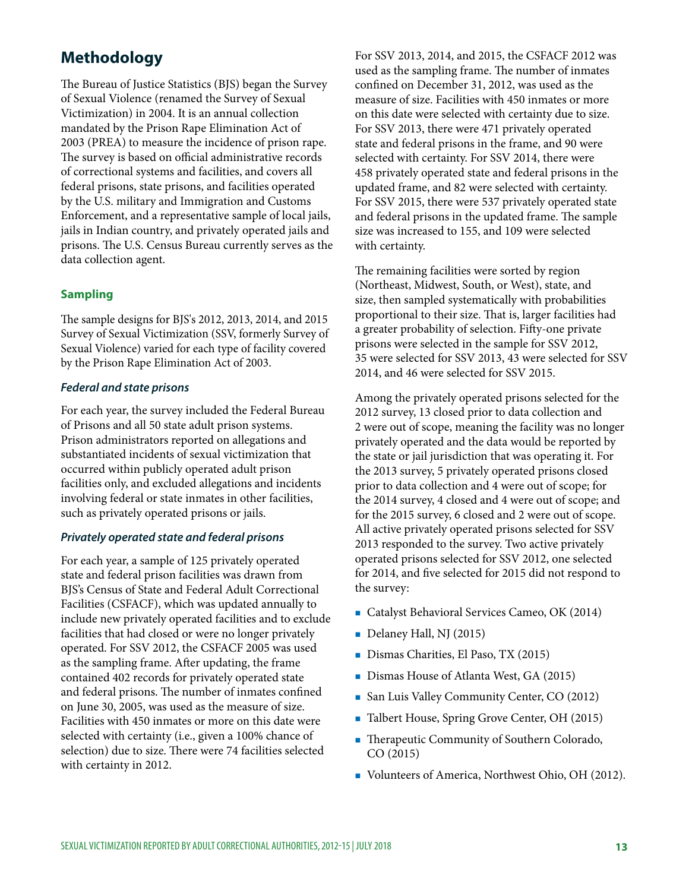# **Methodology**

The Bureau of Justice Statistics (BJS) began the Survey of Sexual Violence (renamed the Survey of Sexual Victimization) in 2004. It is an annual collection mandated by the Prison Rape Elimination Act of 2003 (PREA) to measure the incidence of prison rape. The survey is based on official administrative records of correctional systems and facilities, and covers all federal prisons, state prisons, and facilities operated by the U.S. military and Immigration and Customs Enforcement, and a representative sample of local jails, jails in Indian country, and privately operated jails and prisons. The U.S. Census Bureau currently serves as the data collection agent.

## **Sampling**

The sample designs for BJS's 2012, 2013, 2014, and 2015 Survey of Sexual Victimization (SSV, formerly Survey of Sexual Violence) varied for each type of facility covered by the Prison Rape Elimination Act of 2003.

#### *Federal and state prisons*

For each year, the survey included the Federal Bureau of Prisons and all 50 state adult prison systems. Prison administrators reported on allegations and substantiated incidents of sexual victimization that occurred within publicly operated adult prison facilities only, and excluded allegations and incidents involving federal or state inmates in other facilities, such as privately operated prisons or jails.

#### *Privately operated state and federal prisons*

For each year, a sample of 125 privately operated state and federal prison facilities was drawn from BJS's Census of State and Federal Adult Correctional Facilities (CSFACF), which was updated annually to include new privately operated facilities and to exclude facilities that had closed or were no longer privately operated. For SSV 2012, the CSFACF 2005 was used as the sampling frame. Afer updating, the frame contained 402 records for privately operated state and federal prisons. The number of inmates confined on June 30, 2005, was used as the measure of size. Facilities with 450 inmates or more on this date were selected with certainty (i.e., given a 100% chance of selection) due to size. There were 74 facilities selected with certainty in 2012.

For SSV 2013, 2014, and 2015, the CSFACF 2012 was used as the sampling frame. The number of inmates confned on December 31, 2012, was used as the measure of size. Facilities with 450 inmates or more on this date were selected with certainty due to size. For SSV 2013, there were 471 privately operated state and federal prisons in the frame, and 90 were selected with certainty. For SSV 2014, there were 458 privately operated state and federal prisons in the updated frame, and 82 were selected with certainty. For SSV 2015, there were 537 privately operated state and federal prisons in the updated frame. The sample size was increased to 155, and 109 were selected with certainty.

The remaining facilities were sorted by region (Northeast, Midwest, South, or West), state, and size, then sampled systematically with probabilities proportional to their size. That is, larger facilities had a greater probability of selection. Fify-one private prisons were selected in the sample for SSV 2012, 35 were selected for SSV 2013, 43 were selected for SSV 2014, and 46 were selected for SSV 2015.

Among the privately operated prisons selected for the 2012 survey, 13 closed prior to data collection and 2 were out of scope, meaning the facility was no longer privately operated and the data would be reported by the state or jail jurisdiction that was operating it. For the 2013 survey, 5 privately operated prisons closed prior to data collection and 4 were out of scope; for the 2014 survey, 4 closed and 4 were out of scope; and for the 2015 survey, 6 closed and 2 were out of scope. All active privately operated prisons selected for SSV 2013 responded to the survey. Two active privately operated prisons selected for SSV 2012, one selected for 2014, and fve selected for 2015 did not respond to the survey:

- Catalyst Behavioral Services Cameo, OK (2014)
- Delaney Hall, NJ (2015)
- Dismas Charities, El Paso, TX (2015)
- Dismas House of Atlanta West, GA (2015)
- **San Luis Valley Community Center, CO (2012)**
- Talbert House, Spring Grove Center, OH (2015)
- **Therapeutic Community of Southern Colorado,** CO (2015)
- Volunteers of America, Northwest Ohio, OH (2012).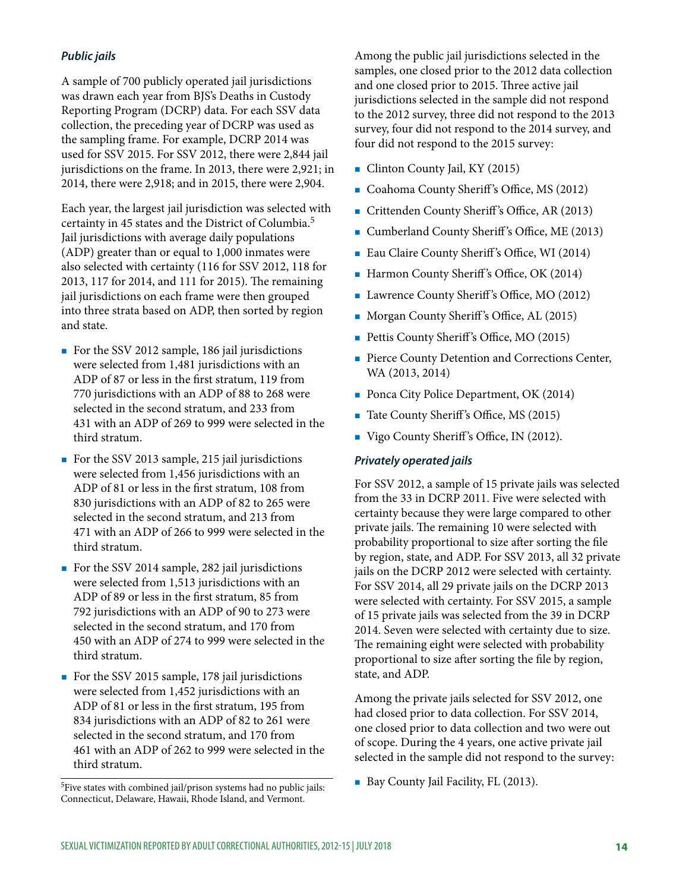### *Public jails*

A sample of 700 publicly operated jail jurisdictions was drawn each year from BJS's Deaths in Custody Reporting Program (DCRP) data. For each SSV data collection, the preceding year of DCRP was used as the sampling frame. For example, DCRP 2014 was used for SSV 2015. For SSV 2012, there were 2,844 jail jurisdictions on the frame. In 2013, there were 2,921; in 2014, there were 2,918; and in 2015, there were 2,904.

Each year, the largest jail jurisdiction was selected with certainty in 45 states and the District of Columbia.<sup>5</sup> Jail jurisdictions with average daily populations (ADP) greater than or equal to 1,000 inmates were also selected with certainty (116 for SSV 2012, 118 for 2013, 117 for 2014, and 111 for 2015). The remaining jail jurisdictions on each frame were then grouped into three strata based on ADP, then sorted by region and state.

- For the SSV 2012 sample, 186 jail jurisdictions were selected from 1,481 jurisdictions with an ADP of 87 or less in the frst stratum, 119 from 770 jurisdictions with an ADP of 88 to 268 were selected in the second stratum, and 233 from 431 with an ADP of 269 to 999 were selected in the third stratum.
- For the SSV 2013 sample, 215 jail jurisdictions were selected from 1,456 jurisdictions with an ADP of 81 or less in the frst stratum, 108 from 830 jurisdictions with an ADP of 82 to 265 were selected in the second stratum, and 213 from 471 with an ADP of 266 to 999 were selected in the third stratum.
- For the SSV 2014 sample, 282 jail jurisdictions were selected from 1,513 jurisdictions with an ADP of 89 or less in the frst stratum, 85 from 792 jurisdictions with an ADP of 90 to 273 were selected in the second stratum, and 170 from 450 with an ADP of 274 to 999 were selected in the third stratum.
- For the SSV 2015 sample, 178 jail jurisdictions were selected from 1,452 jurisdictions with an ADP of 81 or less in the frst stratum, 195 from 834 jurisdictions with an ADP of 82 to 261 were selected in the second stratum, and 170 from 461 with an ADP of 262 to 999 were selected in the third stratum.

5Five states with combined jail/prison systems had no public jails: Connecticut, Delaware, Hawaii, Rhode Island, and Vermont.

Among the public jail jurisdictions selected in the samples, one closed prior to the 2012 data collection and one closed prior to 2015. Three active jail jurisdictions selected in the sample did not respond to the 2012 survey, three did not respond to the 2013 survey, four did not respond to the 2014 survey, and four did not respond to the 2015 survey:

- Clinton County Jail, KY (2015)
- Coahoma County Sheriff's Office, MS (2012)
- Crittenden County Sheriff's Office, AR (2013)
- Cumberland County Sheriff's Office, ME  $(2013)$
- Eau Claire County Sheriff's Office, WI (2014)
- $\blacksquare$  Harmon County Sheriff's Office, OK (2014)
- Lawrence County Sheriff's Office, MO (2012)
- Morgan County Sheriff's Office, AL (2015)
- Pettis County Sheriff's Office, MO (2015)
- **Pierce County Detention and Corrections Center,** WA (2013, 2014)
- Ponca City Police Department, OK (2014)
- $\blacksquare$  Tate County Sheriff's Office, MS (2015)
- Vigo County Sheriff's Office, IN (2012).

#### *Privately operated jails*

For SSV 2012, a sample of 15 private jails was selected from the 33 in DCRP 2011. Five were selected with certainty because they were large compared to other private jails. The remaining 10 were selected with probability proportional to size after sorting the file by region, state, and ADP. For SSV 2013, all 32 private jails on the DCRP 2012 were selected with certainty. For SSV 2014, all 29 private jails on the DCRP 2013 were selected with certainty. For SSV 2015, a sample of 15 private jails was selected from the 39 in DCRP 2014. Seven were selected with certainty due to size. The remaining eight were selected with probability proportional to size after sorting the file by region, state, and ADP.

Among the private jails selected for SSV 2012, one had closed prior to data collection. For SSV 2014, one closed prior to data collection and two were out of scope. During the 4 years, one active private jail selected in the sample did not respond to the survey:

Bay County Jail Facility, FL (2013).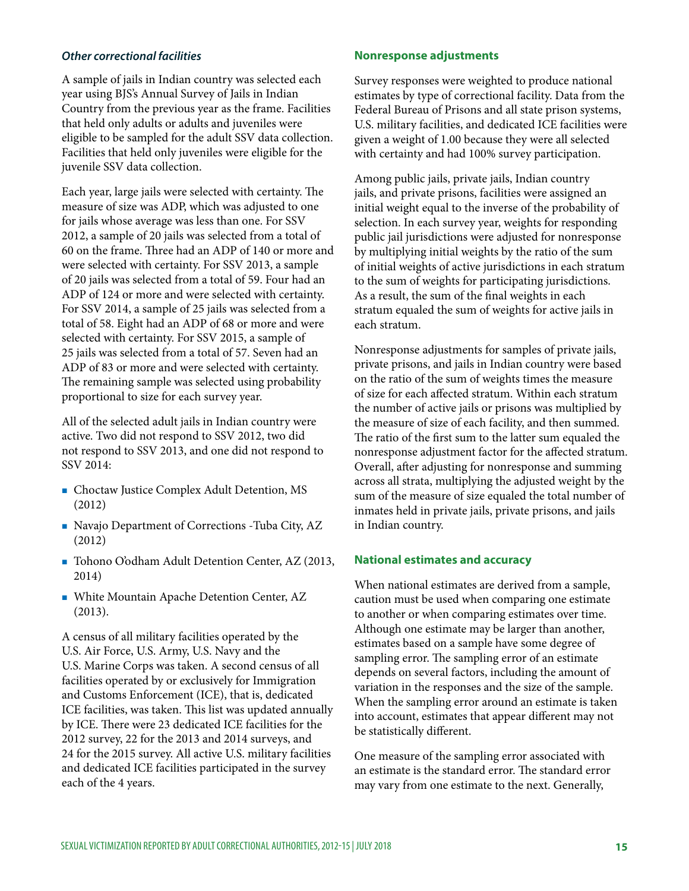#### *Other correctional facilities*

A sample of jails in Indian country was selected each year using BJS's Annual Survey of Jails in Indian Country from the previous year as the frame. Facilities that held only adults or adults and juveniles were eligible to be sampled for the adult SSV data collection. Facilities that held only juveniles were eligible for the juvenile SSV data collection.

Each year, large jails were selected with certainty. The measure of size was ADP, which was adjusted to one for jails whose average was less than one. For SSV 2012, a sample of 20 jails was selected from a total of 60 on the frame. Three had an ADP of 140 or more and were selected with certainty. For SSV 2013, a sample of 20 jails was selected from a total of 59. Four had an ADP of 124 or more and were selected with certainty. For SSV 2014, a sample of 25 jails was selected from a total of 58. Eight had an ADP of 68 or more and were selected with certainty. For SSV 2015, a sample of 25 jails was selected from a total of 57. Seven had an ADP of 83 or more and were selected with certainty. The remaining sample was selected using probability proportional to size for each survey year.

All of the selected adult jails in Indian country were active. Two did not respond to SSV 2012, two did not respond to SSV 2013, and one did not respond to SSV 2014:

- Choctaw Justice Complex Adult Detention, MS (2012)
- Navajo Department of Corrections Tuba City, AZ (2012)
- Tohono O'odham Adult Detention Center, AZ (2013, 2014)
- White Mountain Apache Detention Center, AZ (2013).

A census of all military facilities operated by the U.S. Air Force, U.S. Army, U.S. Navy and the U.S. Marine Corps was taken. A second census of all facilities operated by or exclusively for Immigration and Customs Enforcement (ICE), that is, dedicated ICE facilities, was taken. This list was updated annually by ICE. There were 23 dedicated ICE facilities for the 2012 survey, 22 for the 2013 and 2014 surveys, and 24 for the 2015 survey. All active U.S. military facilities and dedicated ICE facilities participated in the survey each of the 4 years.

#### **Nonresponse adjustments**

Survey responses were weighted to produce national estimates by type of correctional facility. Data from the Federal Bureau of Prisons and all state prison systems, U.S. military facilities, and dedicated ICE facilities were given a weight of 1.00 because they were all selected with certainty and had 100% survey participation.

Among public jails, private jails, Indian country jails, and private prisons, facilities were assigned an initial weight equal to the inverse of the probability of selection. In each survey year, weights for responding public jail jurisdictions were adjusted for nonresponse by multiplying initial weights by the ratio of the sum of initial weights of active jurisdictions in each stratum to the sum of weights for participating jurisdictions. As a result, the sum of the fnal weights in each stratum equaled the sum of weights for active jails in each stratum.

Nonresponse adjustments for samples of private jails, private prisons, and jails in Indian country were based on the ratio of the sum of weights times the measure of size for each afected stratum. Within each stratum the number of active jails or prisons was multiplied by the measure of size of each facility, and then summed. The ratio of the first sum to the latter sum equaled the nonresponse adjustment factor for the afected stratum. Overall, after adjusting for nonresponse and summing across all strata, multiplying the adjusted weight by the sum of the measure of size equaled the total number of inmates held in private jails, private prisons, and jails in Indian country.

#### **National estimates and accuracy**

When national estimates are derived from a sample, caution must be used when comparing one estimate to another or when comparing estimates over time. Although one estimate may be larger than another, estimates based on a sample have some degree of sampling error. The sampling error of an estimate depends on several factors, including the amount of variation in the responses and the size of the sample. When the sampling error around an estimate is taken into account, estimates that appear diferent may not be statistically diferent.

One measure of the sampling error associated with an estimate is the standard error. The standard error may vary from one estimate to the next. Generally,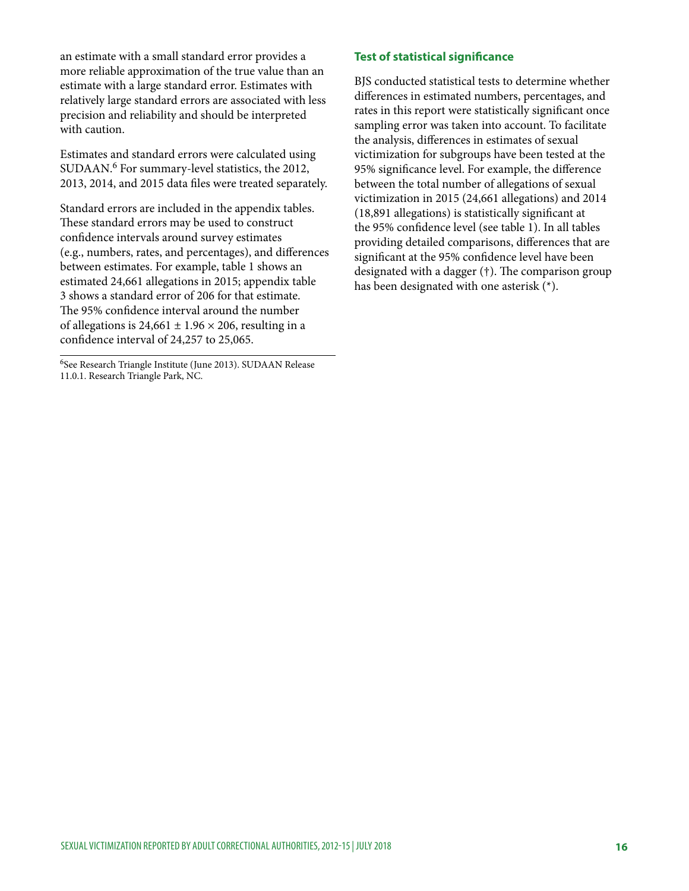an estimate with a small standard error provides a more reliable approximation of the true value than an estimate with a large standard error. Estimates with relatively large standard errors are associated with less precision and reliability and should be interpreted with caution.

Estimates and standard errors were calculated using SUDAAN.<sup>6</sup> For summary-level statistics, the 2012, 2013, 2014, and 2015 data fles were treated separately.

Standard errors are included in the appendix tables. These standard errors may be used to construct confdence intervals around survey estimates (e.g., numbers, rates, and percentages), and diferences between estimates. For example, table 1 shows an estimated 24,661 allegations in 2015; appendix table 3 shows a standard error of 206 for that estimate. The 95% confidence interval around the number of allegations is  $24,661 \pm 1.96 \times 206$ , resulting in a confdence interval of 24,257 to 25,065.

6See Research Triangle Institute (June 2013). SUDAAN Release 11.0.1. Research Triangle Park, NC.

#### **Test of statistical signifcance**

BJS conducted statistical tests to determine whether diferences in estimated numbers, percentages, and rates in this report were statistically signifcant once sampling error was taken into account. To facilitate the analysis, diferences in estimates of sexual victimization for subgroups have been tested at the 95% signifcance level. For example, the diference between the total number of allegations of sexual victimization in 2015 (24,661 allegations) and 2014 (18,891 allegations) is statistically signifcant at the 95% confdence level (see table 1). In all tables providing detailed comparisons, diferences that are signifcant at the 95% confdence level have been designated with a dagger  $(†)$ . The comparison group has been designated with one asterisk (\*).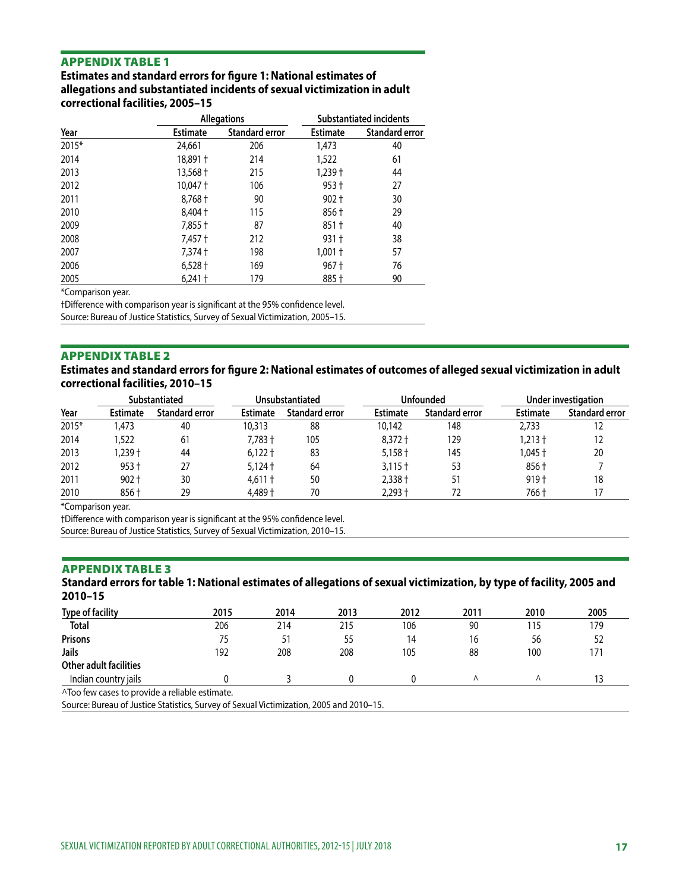#### APPENDIX TABLE 1

**Estimates and standard errors for fgure 1: National estimates of allegations and substantiated incidents of sexual victimization in adult correctional facilities, 2005–15** 

|       |                 | <b>Allegations</b>    | <b>Substantiated incidents</b> |                |  |
|-------|-----------------|-----------------------|--------------------------------|----------------|--|
| Year  | <b>Estimate</b> | <b>Standard error</b> | <b>Estimate</b>                | Standard error |  |
| 2015* | 24,661          | 206                   | 1,473                          | 40             |  |
| 2014  | 18,891 +        | 214                   | 1,522                          | 61             |  |
| 2013  | 13,568 +        | 215                   | $1,239$ $\dagger$              | 44             |  |
| 2012  | 10,047 +        | 106                   | $953 +$                        | 27             |  |
| 2011  | $8,768 +$       | 90                    | $902 +$                        | 30             |  |
| 2010  | 8,404 +         | 115                   | 856 †                          | 29             |  |
| 2009  | 7,855 †         | 87                    | $851 +$                        | 40             |  |
| 2008  | 7,457 †         | 212                   | $931 +$                        | 38             |  |
| 2007  | 7,374 †         | 198                   | 1,001 †                        | 57             |  |
| 2006  | $6,528$ †       | 169                   | 967 †                          | 76             |  |
| 2005  | $6,241$ †       | 179                   | 885 +                          | 90             |  |

\*Comparison year.

†Diference with comparison year is signifcant at the 95% confdence level.

Source: Bureau of Justice Statistics, Survey of Sexual Victimization, 2005–15.

#### APPENDIX TABLE 2

**Estimates and standard errors for fgure 2: National estimates of outcomes of alleged sexual victimization in adult correctional facilities, 2010–15** 

|       | Substantiated   |                | Unsubstantiated |                |                 | <b>Unfounded</b>      | Under investigation |                |
|-------|-----------------|----------------|-----------------|----------------|-----------------|-----------------------|---------------------|----------------|
| Year  | <b>Estimate</b> | Standard error | Estimate        | Standard error | <b>Estimate</b> | <b>Standard error</b> | <b>Estimate</b>     | Standard error |
| 2015* | .473            | 40             | 10,313          | 88             | 10,142          | 148                   | 2.733               |                |
| 2014  | .522            | 61             | $7.783 +$       | 105            | $8.372 +$       | 129                   | $1.213 +$           |                |
| 2013  | $.239 +$        | 44             | $6.122 +$       | 83             | $5.158 +$       | 145                   | 1.045 †             | 20             |
| 2012  | $953 +$         | 27             | $5.124 +$       | 64             | $3.115 +$       | 53                    | 856 †               |                |
| 2011  | $902 +$         | 30             | $4.611 +$       | 50             | 2,338 +         | 51                    | $919+$              | 18             |
| 2010  | 856 †           | 29             | 4.489 +         | 70             | 2.293 †         | 72                    | 766 +               |                |

\*Comparison year.

†Diference with comparison year is signifcant at the 95% confdence level.

Source: Bureau of Justice Statistics, Survey of Sexual Victimization, 2010–15.

#### ľ APPENDIX TABLE 3

#### **Standard errors for table 1: National estimates of allegations of sexual victimization, by type of facility, 2005 and 2010–15**

| <b>Type of facility</b>                        | 2015 | 2014 | 2013 | 2012 | 2011 | 2010 | 2005 |
|------------------------------------------------|------|------|------|------|------|------|------|
| <b>Total</b>                                   | 206  | 214  | 215  | 106  | 90   | 115  | 179  |
| <b>Prisons</b>                                 | 75   | 51   | 55   | 14   | 16   | 56   | 52   |
| Jails                                          | 192  | 208  | 208  | 105  | 88   | 100  | 171  |
| Other adult facilities                         |      |      |      |      |      |      |      |
| Indian country jails                           |      |      |      |      |      |      |      |
| ^Too few cases to provide a reliable estimate. |      |      |      |      |      |      |      |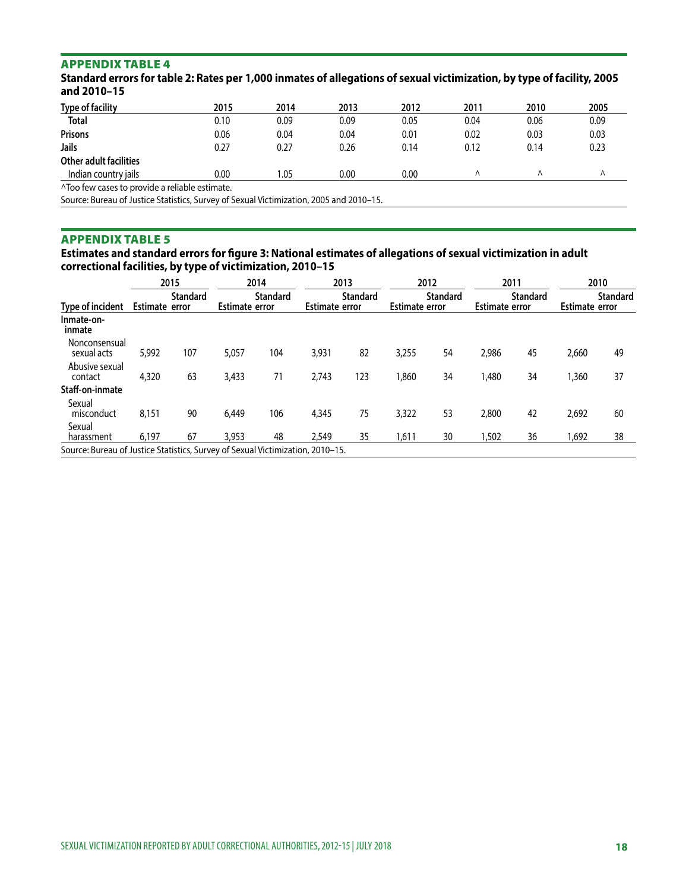### APPENDIX TABLE 4

**Standard errors for table 2: Rates per 1,000 inmates of allegations of sexual victimization, by type of facility, 2005 and 2010–15** 

| <b>Type of facility</b>       | 2015                                         | 2014  | 2013 | 2012 | 2011 | 2010 | 2005 |  |  |  |
|-------------------------------|----------------------------------------------|-------|------|------|------|------|------|--|--|--|
| <b>Total</b>                  | 0.10                                         | 0.09  | 0.09 | 0.05 | 0.04 | 0.06 | 0.09 |  |  |  |
| <b>Prisons</b>                | 0.06                                         | 0.04  | 0.04 | 0.01 | 0.02 | 0.03 | 0.03 |  |  |  |
| Jails                         | 0.27                                         | 0.27  | 0.26 | 0.14 | 0.12 | 0.14 | 0.23 |  |  |  |
| <b>Other adult facilities</b> |                                              |       |      |      |      |      |      |  |  |  |
| Indian country jails          | 0.00                                         | 05. ا | 0.00 | 0.00 |      |      | Λ    |  |  |  |
|                               | ATee formacerete module a mellelele estimate |       |      |      |      |      |      |  |  |  |

^Too few cases to provide a reliable estimate.

Source: Bureau of Justice Statistics, Survey of Sexual Victimization, 2005 and 2010–15.

#### ľ APPENDIX TABLE 5

**Estimates and standard errors for fgure 3: National estimates of allegations of sexual victimization in adult correctional facilities, by type of victimization, 2010–15** 

|                                                                                |                | 2015            |                       | 2014            | 2013                  |                 | 2012                  |                 | 2011                  |                 | 2010                  |                 |
|--------------------------------------------------------------------------------|----------------|-----------------|-----------------------|-----------------|-----------------------|-----------------|-----------------------|-----------------|-----------------------|-----------------|-----------------------|-----------------|
| Type of incident                                                               | Estimate error | <b>Standard</b> | <b>Estimate error</b> | <b>Standard</b> | <b>Estimate error</b> | <b>Standard</b> | <b>Estimate error</b> | <b>Standard</b> | <b>Estimate error</b> | <b>Standard</b> | <b>Estimate error</b> | <b>Standard</b> |
| Inmate-on-<br>inmate                                                           |                |                 |                       |                 |                       |                 |                       |                 |                       |                 |                       |                 |
| Nonconsensual<br>sexual acts                                                   | 5.992          | 107             | 5,057                 | 104             | 3,931                 | 82              | 3,255                 | 54              | 2,986                 | 45              | 2,660                 | 49              |
| Abusive sexual<br>contact                                                      | 4,320          | 63              | 3,433                 | 71              | 2,743                 | 123             | 1,860                 | 34              | 1.480                 | 34              | 1,360                 | 37              |
| Staff-on-inmate                                                                |                |                 |                       |                 |                       |                 |                       |                 |                       |                 |                       |                 |
| Sexual<br>misconduct                                                           | 8,151          | 90              | 6,449                 | 106             | 4,345                 | 75              | 3,322                 | 53              | 2,800                 | 42              | 2,692                 | 60              |
| Sexual<br>harassment                                                           | 6.197          | 67              | 3,953                 | 48              | 2,549                 | 35              | 1,611                 | 30              | 1,502                 | 36              | 1,692                 | 38              |
| Source: Bureau of Justice Statistics, Survey of Sexual Victimization, 2010–15. |                |                 |                       |                 |                       |                 |                       |                 |                       |                 |                       |                 |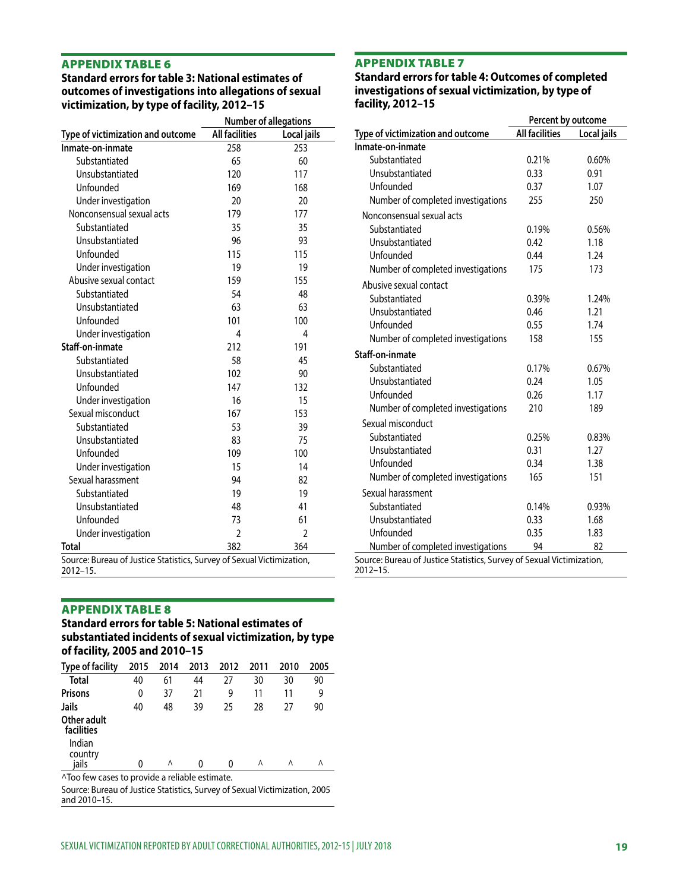#### j APPENDIX TABLE 6

#### **Standard errors for table 3: National estimates of outcomes of investigations into allegations of sexual victimization, by type of facility, 2012–15**

|                                                                       | <b>Number of allegations</b> |                |  |  |
|-----------------------------------------------------------------------|------------------------------|----------------|--|--|
| Type of victimization and outcome                                     | <b>All facilities</b>        | Local jails    |  |  |
| Inmate-on-inmate                                                      | 258                          | 253            |  |  |
| Substantiated                                                         | 65                           | 60             |  |  |
| Unsubstantiated                                                       | 120                          | 117            |  |  |
| Unfounded                                                             | 169                          | 168            |  |  |
| Under investigation                                                   | 20                           | 20             |  |  |
| Nonconsensual sexual acts                                             | 179                          | 177            |  |  |
| Substantiated                                                         | 35                           | 35             |  |  |
| Unsubstantiated                                                       | 96                           | 93             |  |  |
| Unfounded                                                             | 115                          | 115            |  |  |
| Under investigation                                                   | 19                           | 19             |  |  |
| Abusive sexual contact                                                | 159                          | 155            |  |  |
| Substantiated                                                         | 54                           | 48             |  |  |
| Unsubstantiated                                                       | 63                           | 63             |  |  |
| Unfounded                                                             | 101                          | 100            |  |  |
| Under investigation                                                   | 4                            | 4              |  |  |
| Staff-on-inmate                                                       | 212                          | 191            |  |  |
| Substantiated                                                         | 58                           | 45             |  |  |
| Unsubstantiated                                                       | 102                          | 90             |  |  |
| Unfounded                                                             | 147                          | 132            |  |  |
| Under investigation                                                   | 16                           | 15             |  |  |
| Sexual misconduct                                                     | 167                          | 153            |  |  |
| Substantiated                                                         | 53                           | 39             |  |  |
| Unsubstantiated                                                       | 83                           | 75             |  |  |
| Unfounded                                                             | 109                          | 100            |  |  |
| Under investigation                                                   | 15                           | 14             |  |  |
| Sexual harassment                                                     | 94                           | 82             |  |  |
| Substantiated                                                         | 19                           | 19             |  |  |
| Unsubstantiated                                                       | 48                           | 41             |  |  |
| Unfounded                                                             | 73                           | 61             |  |  |
| Under investigation                                                   | $\overline{2}$               | $\overline{2}$ |  |  |
| Total                                                                 | 382                          | 364            |  |  |
| Source: Bureau of Justice Statistics, Survey of Sexual Victimization, |                              |                |  |  |

#### APPENDIX TABLE 7

2012–15.

 **Standard errors for table 4: Outcomes of completed investigations of sexual victimization, by type of facility, 2012–15** 

|                                                                       | Percent by outcome    |             |  |  |  |
|-----------------------------------------------------------------------|-----------------------|-------------|--|--|--|
| Type of victimization and outcome                                     | <b>All facilities</b> | Local jails |  |  |  |
| Inmate-on-inmate                                                      |                       |             |  |  |  |
| Substantiated                                                         | 0.21%                 | 0.60%       |  |  |  |
| Unsubstantiated                                                       | 0.33                  | 0.91        |  |  |  |
| Unfounded                                                             | 0.37                  | 1.07        |  |  |  |
| Number of completed investigations                                    | 255                   | 250         |  |  |  |
| Nonconsensual sexual acts                                             |                       |             |  |  |  |
| Substantiated                                                         | 0.19%                 | 0.56%       |  |  |  |
| Unsubstantiated                                                       | 0.42                  | 1.18        |  |  |  |
| Unfounded                                                             | 0.44                  | 1.24        |  |  |  |
| Number of completed investigations                                    | 175                   | 173         |  |  |  |
| Abusive sexual contact                                                |                       |             |  |  |  |
| Substantiated                                                         | 0.39%                 | 1.24%       |  |  |  |
| Unsubstantiated                                                       | 0.46                  | 1.21        |  |  |  |
| Unfounded                                                             | 0.55                  | 1.74        |  |  |  |
| Number of completed investigations                                    | 158                   | 155         |  |  |  |
| Staff-on-inmate                                                       |                       |             |  |  |  |
| Substantiated                                                         | 0.17%                 | 0.67%       |  |  |  |
| Unsubstantiated                                                       | 0.24                  | 1.05        |  |  |  |
| Unfounded                                                             | 0.26                  | 1.17        |  |  |  |
| Number of completed investigations                                    | 210                   | 189         |  |  |  |
| Sexual misconduct                                                     |                       |             |  |  |  |
| Substantiated                                                         | 0.25%                 | 0.83%       |  |  |  |
| Unsubstantiated                                                       | 0.31                  | 1.27        |  |  |  |
| Unfounded                                                             | 0.34                  | 1.38        |  |  |  |
| Number of completed investigations                                    | 165                   | 151         |  |  |  |
| Sexual harassment                                                     |                       |             |  |  |  |
| Substantiated                                                         | 0.14%                 | 0.93%       |  |  |  |
| Unsubstantiated                                                       | 0.33                  | 1.68        |  |  |  |
| Unfounded                                                             | 0.35                  | 1.83        |  |  |  |
| Number of completed investigations                                    | 94                    | 82          |  |  |  |
| Source: Bureau of Justice Statistics, Survey of Sexual Victimization, |                       |             |  |  |  |

2012–15.

#### APPENDIX TABLE 8

**Standard errors for table 5: National estimates of substantiated incidents of sexual victimization, by type of facility, 2005 and 2010–15** 

| 2015                                                                                      | 2014 | 2013 | 2012 | 2011 | 2010 | 2005                                                                       |  |  |
|-------------------------------------------------------------------------------------------|------|------|------|------|------|----------------------------------------------------------------------------|--|--|
| 40                                                                                        | 61   | 44   | 27   | 30   | 30   | 90                                                                         |  |  |
| 0                                                                                         | 37   | 21   | 9    | 11   | 11   | 9                                                                          |  |  |
| 40                                                                                        | 48   | 39   | 25   | 28   | 27   | 90                                                                         |  |  |
| Jails<br>Other adult<br>facilities<br>Indian<br>country<br>iails<br>Λ<br>Λ<br>Λ<br>Λ<br>0 |      |      |      |      |      |                                                                            |  |  |
| ^Too few cases to provide a reliable estimate.                                            |      |      |      |      |      |                                                                            |  |  |
|                                                                                           |      |      |      |      |      | Source: Rureau of Justice Statistics, Survey of Sexual Victimization, 2005 |  |  |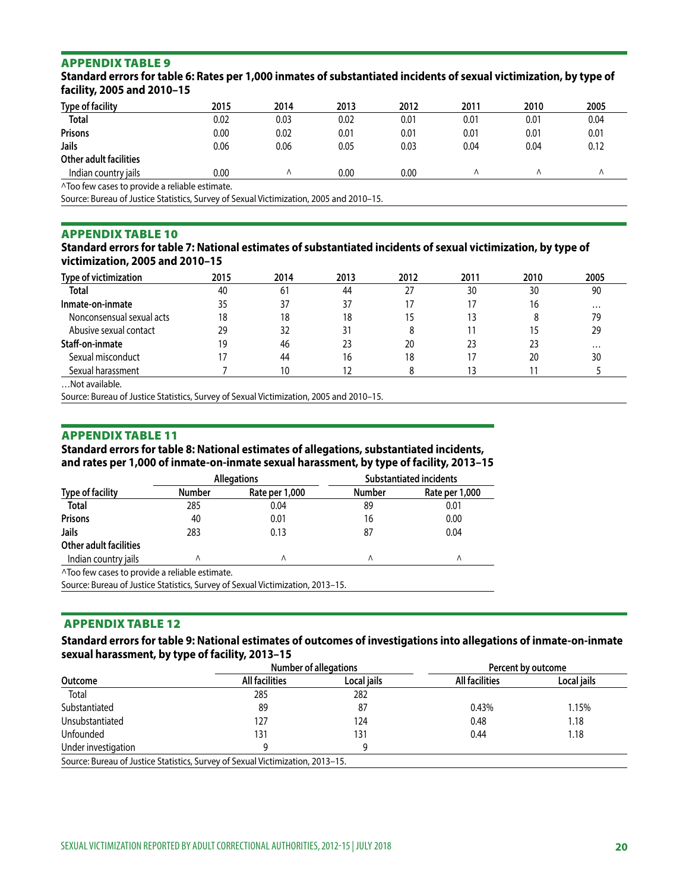#### APPENDIX TABLE 9

| facility, 2005 and 2010–15 |      |      |      |      |      |      |      |
|----------------------------|------|------|------|------|------|------|------|
| <b>Type of facility</b>    | 2015 | 2014 | 2013 | 2012 | 2011 | 2010 | 2005 |
| <b>Total</b>               | 0.02 | 0.03 | 0.02 | 0.01 | 0.01 | 0.01 | 0.04 |
| <b>Prisons</b>             | 0.00 | 0.02 | 0.01 | 0.01 | 0.01 | 0.01 | 0.01 |
| Jails                      | 0.06 | 0.06 | 0.05 | 0.03 | 0.04 | 0.04 | 0.12 |
| Other adult facilities     |      |      |      |      |      |      |      |
| Indian country jails       | 0.00 | Λ    | 0.00 | 0.00 |      |      | Λ    |
|                            |      |      |      |      |      |      |      |

**Standard errors for table 6: Rates per 1,000 inmates of substantiated incidents of sexual victimization, by type of facility, 2005 and 2010–15** 

^Too few cases to provide a reliable estimate.

Source: Bureau of Justice Statistics, Survey of Sexual Victimization, 2005 and 2010–15.

#### APPENDIX TABLE 10

**Standard errors for table 7: National estimates of substantiated incidents of sexual victimization, by type of victimization, 2005 and 2010–15** 

| Type of victimization     | 2015 | 2014 | 2013 | 2012 | 2011 | 2010 | 2005     |
|---------------------------|------|------|------|------|------|------|----------|
| <b>Total</b>              | 40   | 61   | 44   | 27   | 30   | 30   | 90       |
| Inmate-on-inmate          | 35   |      | 37   | 17   | 17   | 16   | $\cdots$ |
| Nonconsensual sexual acts | 18   | 18   | 18   | 15   | 13   |      | 79       |
| Abusive sexual contact    | 29   | 32   | 31   | 8    |      |      | 29       |
| Staff-on-inmate           | 19   | 46   | 23   | 20   | 23   | 23   | $\cdots$ |
| Sexual misconduct         |      | 44   | 16   | 18   | 17   | 20   | 30       |
| Sexual harassment         |      |      |      |      | 13   |      |          |

…Not available.

Source: Bureau of Justice Statistics, Survey of Sexual Victimization, 2005 and 2010–15.

#### APPENDIX TABLE 11

**Standard errors for table 8: National estimates of allegations, substantiated incidents, and rates per 1,000 of inmate-on-inmate sexual harassment, by type of facility, 2013–15** 

|                                                | <b>Allegations</b> |                                                                                | <b>Substantiated incidents</b> |                |
|------------------------------------------------|--------------------|--------------------------------------------------------------------------------|--------------------------------|----------------|
| <b>Type of facility</b>                        | <b>Number</b>      | Rate per 1,000                                                                 | <b>Number</b>                  | Rate per 1,000 |
| Total                                          | 285                | 0.04                                                                           | 89                             | 0.01           |
| <b>Prisons</b>                                 | 40                 | 0.01                                                                           | 16                             | 0.00           |
| Jails                                          | 283                | 0.13                                                                           | 87                             | 0.04           |
| <b>Other adult facilities</b>                  |                    |                                                                                |                                |                |
| Indian country jails                           |                    | Λ                                                                              | Λ                              | ٨              |
| ^Too few cases to provide a reliable estimate. |                    |                                                                                |                                |                |
|                                                |                    | Source: Bureau of Justice Statistics, Survey of Sexual Victimization, 2013-15. |                                |                |

#### APPENDIX TABLE 12

#### **Standard errors for table 9: National estimates of outcomes of investigations into allegations of inmate-on-inmate sexual harassment, by type of facility, 2013–15**

| Outcome                                                                        | <b>Number of allegations</b> |             | Percent by outcome |             |
|--------------------------------------------------------------------------------|------------------------------|-------------|--------------------|-------------|
|                                                                                | All facilities               | Local jails | All facilities     | Local jails |
| Total                                                                          | 285                          | 282         |                    |             |
| Substantiated                                                                  | 89                           | 87          | 0.43%              | 1.15%       |
| Unsubstantiated                                                                | 127                          | 124         | 0.48               | 1.18        |
| Unfounded                                                                      | 131                          | 131         | 0.44               | 1.18        |
| Under investigation                                                            |                              | q           |                    |             |
| Source: Bureau of Justice Statistics, Survey of Sexual Victimization, 2013–15. |                              |             |                    |             |